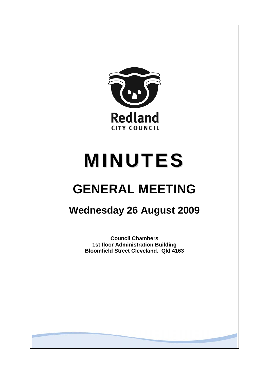

# **MINUTES**

# **GENERAL MEETING**

## **Wednesday 26 August 2009**

**Council Chambers 1st floor Administration Building Bloomfield Street Cleveland. Qld 4163**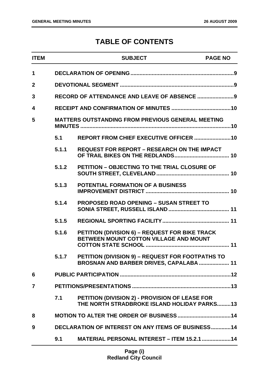### **TABLE OF CONTENTS**

| $\mathbf 1$<br>$\mathbf{2}$<br>3<br>4<br>5<br><b>MATTERS OUTSTANDING FROM PREVIOUS GENERAL MEETING</b><br>5.1<br>5.1.1<br><b>REQUEST FOR REPORT - RESEARCH ON THE IMPACT</b><br>5.1.2<br>PETITION - OBJECTING TO THE TRIAL CLOSURE OF<br>5.1.3<br><b>POTENTIAL FORMATION OF A BUSINESS</b><br>5.1.4<br><b>PROPOSED ROAD OPENING - SUSAN STREET TO</b><br>5.1.5<br>5.1.6<br><b>PETITION (DIVISION 6) - REQUEST FOR BIKE TRACK</b><br>BETWEEN MOUNT COTTON VILLAGE AND MOUNT<br>PETITION (DIVISION 9) - REQUEST FOR FOOTPATHS TO<br>5.1.7<br>BROSNAN AND BARBER DRIVES, CAPALABA 11<br>6<br>$\overline{7}$<br>7.1<br>PETITION (DIVISION 2) - PROVISION OF LEASE FOR<br>THE NORTH STRADBROKE ISLAND HOLIDAY PARKS13<br>8 | <b>ITEM</b> |  | <b>SUBJECT</b>                                            | <b>PAGE NO</b> |  |
|-----------------------------------------------------------------------------------------------------------------------------------------------------------------------------------------------------------------------------------------------------------------------------------------------------------------------------------------------------------------------------------------------------------------------------------------------------------------------------------------------------------------------------------------------------------------------------------------------------------------------------------------------------------------------------------------------------------------------|-------------|--|-----------------------------------------------------------|----------------|--|
|                                                                                                                                                                                                                                                                                                                                                                                                                                                                                                                                                                                                                                                                                                                       |             |  |                                                           |                |  |
|                                                                                                                                                                                                                                                                                                                                                                                                                                                                                                                                                                                                                                                                                                                       |             |  |                                                           |                |  |
|                                                                                                                                                                                                                                                                                                                                                                                                                                                                                                                                                                                                                                                                                                                       |             |  |                                                           |                |  |
|                                                                                                                                                                                                                                                                                                                                                                                                                                                                                                                                                                                                                                                                                                                       |             |  |                                                           |                |  |
|                                                                                                                                                                                                                                                                                                                                                                                                                                                                                                                                                                                                                                                                                                                       |             |  |                                                           |                |  |
|                                                                                                                                                                                                                                                                                                                                                                                                                                                                                                                                                                                                                                                                                                                       |             |  |                                                           |                |  |
|                                                                                                                                                                                                                                                                                                                                                                                                                                                                                                                                                                                                                                                                                                                       |             |  |                                                           |                |  |
|                                                                                                                                                                                                                                                                                                                                                                                                                                                                                                                                                                                                                                                                                                                       |             |  |                                                           |                |  |
|                                                                                                                                                                                                                                                                                                                                                                                                                                                                                                                                                                                                                                                                                                                       |             |  |                                                           |                |  |
|                                                                                                                                                                                                                                                                                                                                                                                                                                                                                                                                                                                                                                                                                                                       |             |  |                                                           |                |  |
|                                                                                                                                                                                                                                                                                                                                                                                                                                                                                                                                                                                                                                                                                                                       |             |  |                                                           |                |  |
|                                                                                                                                                                                                                                                                                                                                                                                                                                                                                                                                                                                                                                                                                                                       |             |  |                                                           |                |  |
|                                                                                                                                                                                                                                                                                                                                                                                                                                                                                                                                                                                                                                                                                                                       |             |  |                                                           |                |  |
|                                                                                                                                                                                                                                                                                                                                                                                                                                                                                                                                                                                                                                                                                                                       |             |  |                                                           |                |  |
|                                                                                                                                                                                                                                                                                                                                                                                                                                                                                                                                                                                                                                                                                                                       |             |  |                                                           |                |  |
|                                                                                                                                                                                                                                                                                                                                                                                                                                                                                                                                                                                                                                                                                                                       |             |  |                                                           |                |  |
|                                                                                                                                                                                                                                                                                                                                                                                                                                                                                                                                                                                                                                                                                                                       |             |  |                                                           |                |  |
|                                                                                                                                                                                                                                                                                                                                                                                                                                                                                                                                                                                                                                                                                                                       | 9           |  | <b>DECLARATION OF INTEREST ON ANY ITEMS OF BUSINESS14</b> |                |  |
| <b>MATERIAL PERSONAL INTEREST - ITEM 15.2.1  14</b><br>9.1                                                                                                                                                                                                                                                                                                                                                                                                                                                                                                                                                                                                                                                            |             |  |                                                           |                |  |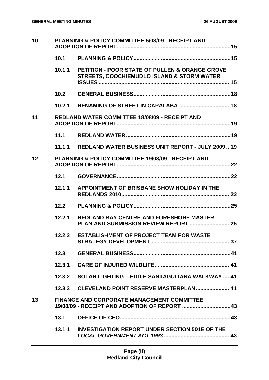| 10 |        | PLANNING & POLICY COMMITTEE 5/08/09 - RECEIPT AND                                                       |  |
|----|--------|---------------------------------------------------------------------------------------------------------|--|
|    | 10.1   |                                                                                                         |  |
|    | 10.1.1 | PETITION - POOR STATE OF PULLEN & ORANGE GROVE<br><b>STREETS, COOCHIEMUDLO ISLAND &amp; STORM WATER</b> |  |
|    |        |                                                                                                         |  |
|    |        |                                                                                                         |  |
| 11 |        | <b>REDLAND WATER COMMITTEE 18/08/09 - RECEIPT AND</b>                                                   |  |
|    | 11.1   |                                                                                                         |  |
|    |        | 11.1.1 REDLAND WATER BUSINESS UNIT REPORT - JULY 2009 19                                                |  |
| 12 |        | <b>PLANNING &amp; POLICY COMMITTEE 19/08/09 - RECEIPT AND</b>                                           |  |
|    | 12.1   |                                                                                                         |  |
|    | 12.1.1 | APPOINTMENT OF BRISBANE SHOW HOLIDAY IN THE                                                             |  |
|    | 12.2   |                                                                                                         |  |
|    | 12.2.1 | <b>REDLAND BAY CENTRE AND FORESHORE MASTER</b>                                                          |  |
|    |        | 12.2.2 ESTABLISHMENT OF PROJECT TEAM FOR WASTE                                                          |  |
|    | 12.3   |                                                                                                         |  |
|    | 12.3.1 |                                                                                                         |  |
|    | 12.3.2 | <b>SOLAR LIGHTING - EDDIE SANTAGULIANA WALKWAY  41</b>                                                  |  |
|    |        | 12.3.3 CLEVELAND POINT RESERVE MASTERPLAN 41                                                            |  |
| 13 |        | <b>FINANCE AND CORPORATE MANAGEMENT COMMITTEE</b><br>19/08/09 - RECEIPT AND ADOPTION OF REPORT 43       |  |
|    | 13.1   |                                                                                                         |  |
|    | 13.1.1 | <b>INVESTIGATION REPORT UNDER SECTION 501E OF THE</b>                                                   |  |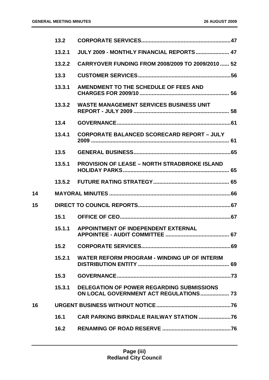|    | 13.2   |                                                                                            |
|----|--------|--------------------------------------------------------------------------------------------|
|    | 13.2.1 | JULY 2009 - MONTHLY FINANCIAL REPORTS 47                                                   |
|    | 13.2.2 | CARRYOVER FUNDING FROM 2008/2009 TO 2009/2010  52                                          |
|    | 13.3   |                                                                                            |
|    | 13.3.1 | AMENDMENT TO THE SCHEDULE OF FEES AND                                                      |
|    | 13.3.2 | <b>WASTE MANAGEMENT SERVICES BUSINESS UNIT</b>                                             |
|    | 13.4   |                                                                                            |
|    | 13.4.1 | <b>CORPORATE BALANCED SCORECARD REPORT - JULY</b>                                          |
|    | 13.5   |                                                                                            |
|    | 13.5.1 | <b>PROVISION OF LEASE - NORTH STRADBROKE ISLAND</b>                                        |
|    |        |                                                                                            |
| 14 |        |                                                                                            |
| 15 |        |                                                                                            |
|    | 15.1   |                                                                                            |
|    | 15.1.1 | APPOINTMENT OF INDEPENDENT EXTERNAL                                                        |
|    | 15.2   |                                                                                            |
|    | 15.2.1 | WATER REFORM PROGRAM - WINDING UP OF INTERIM                                               |
|    | 15.3   |                                                                                            |
|    | 15.3.1 | DELEGATION OF POWER REGARDING SUBMISSIONS<br><b>ON LOCAL GOVERNMENT ACT REGULATIONS 73</b> |
| 16 |        |                                                                                            |
|    | 16.1   |                                                                                            |
|    | 16.2   |                                                                                            |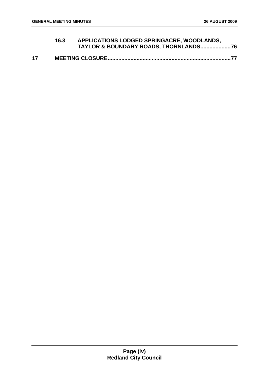|    | 16.3 | APPLICATIONS LODGED SPRINGACRE, WOODLANDS, |  |
|----|------|--------------------------------------------|--|
| 17 |      |                                            |  |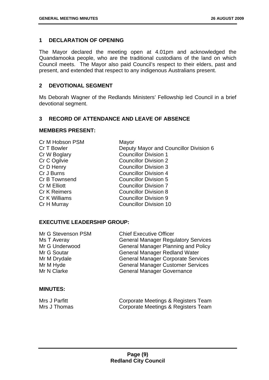#### <span id="page-5-0"></span>**1 DECLARATION OF OPENING**

The Mayor declared the meeting open at 4.01pm and acknowledged the Quandamooka people, who are the traditional custodians of the land on which Council meets. The Mayor also paid Council's respect to their elders, past and present, and extended that respect to any indigenous Australians present.

#### **2 DEVOTIONAL SEGMENT**

Ms Deborah Wagner of the Redlands Ministers' Fellowship led Council in a brief devotional segment.

#### **3 RECORD OF ATTENDANCE AND LEAVE OF ABSENCE**

#### **MEMBERS PRESENT:**

| Cr M Hobson PSM     | Mayor                                  |
|---------------------|----------------------------------------|
| Cr T Bowler         | Deputy Mayor and Councillor Division 6 |
| Cr W Boglary        | <b>Councillor Division 1</b>           |
| Cr C Ogilvie        | <b>Councillor Division 2</b>           |
| Cr D Henry          | <b>Councillor Division 3</b>           |
| Cr J Burns          | <b>Councillor Division 4</b>           |
| Cr B Townsend       | <b>Councillor Division 5</b>           |
| Cr M Elliott        | <b>Councillor Division 7</b>           |
| <b>Cr K Reimers</b> | <b>Councillor Division 8</b>           |
| Cr K Williams       | <b>Councillor Division 9</b>           |
| Cr H Murray         | <b>Councillor Division 10</b>          |
|                     |                                        |

#### **EXECUTIVE LEADERSHIP GROUP:**

| Mr G Stevenson PSM | <b>Chief Executive Officer</b>             |
|--------------------|--------------------------------------------|
| Ms T Averay        | <b>General Manager Regulatory Services</b> |
| Mr G Underwood     | <b>General Manager Planning and Policy</b> |
| Mr G Soutar        | <b>General Manager Redland Water</b>       |
| Mr M Drydale       | <b>General Manager Corporate Services</b>  |
| Mr M Hyde          | <b>General Manager Customer Services</b>   |
| Mr N Clarke        | <b>General Manager Governance</b>          |
|                    |                                            |

#### **MINUTES:**

| Mrs J Parfitt | Corporate Meetings & Registers Team |
|---------------|-------------------------------------|
| Mrs J Thomas  | Corporate Meetings & Registers Team |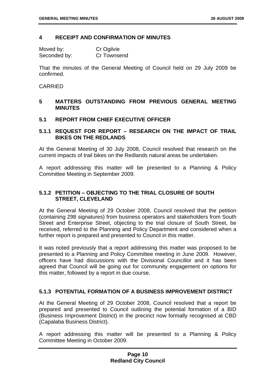#### <span id="page-6-0"></span>**4 RECEIPT AND CONFIRMATION OF MINUTES**

| Moved by:    | Cr Ogilvie  |
|--------------|-------------|
| Seconded by: | Cr Townsend |

That the minutes of the General Meeting of Council held on 29 July 2009 be confirmed.

#### CARRIED

#### **5 MATTERS OUTSTANDING FROM PREVIOUS GENERAL MEETING MINUTES**

#### **5.1 REPORT FROM CHIEF EXECUTIVE OFFICER**

#### **5.1.1 REQUEST FOR REPORT – RESEARCH ON THE IMPACT OF TRAIL BIKES ON THE REDLANDS**

At the General Meeting of 30 July 2008, Council resolved that research on the current impacts of trail bikes on the Redlands natural areas be undertaken.

A report addressing this matter will be presented to a Planning & Policy Committee Meeting in September 2009.

#### **5.1.2 PETITION – OBJECTING TO THE TRIAL CLOSURE OF SOUTH STREET, CLEVELAND**

At the General Meeting of 29 October 2008, Council resolved that the petition (containing 298 signatures) from business operators and stakeholders from South Street and Enterprise Street, objecting to the trial closure of South Street, be received, referred to the Planning and Policy Department and considered when a further report is prepared and presented to Council in this matter.

It was noted previously that a report addressing this matter was proposed to be presented to a Planning and Policy Committee meeting in June 2009. However, officers have had discussions with the Divisional Councillor and it has been agreed that Council will be going out for community engagement on options for this matter, followed by a report in due course.

#### **5.1.3 POTENTIAL FORMATION OF A BUSINESS IMPROVEMENT DISTRICT**

At the General Meeting of 29 October 2008, Council resolved that a report be prepared and presented to Council outlining the potential formation of a BID (Business Improvement District) in the precinct now formally recognised at CBD (Capalaba Business District).

A report addressing this matter will be presented to a Planning & Policy Committee Meeting in October 2009.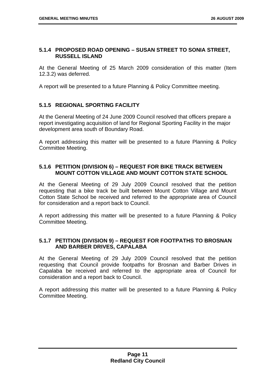#### <span id="page-7-0"></span>**5.1.4 PROPOSED ROAD OPENING – SUSAN STREET TO SONIA STREET, RUSSELL ISLAND**

At the General Meeting of 25 March 2009 consideration of this matter (Item 12.3.2) was deferred.

A report will be presented to a future Planning & Policy Committee meeting.

#### **5.1.5 REGIONAL SPORTING FACILITY**

At the General Meeting of 24 June 2009 Council resolved that officers prepare a report investigating acquisition of land for Regional Sporting Facility in the major development area south of Boundary Road.

A report addressing this matter will be presented to a future Planning & Policy Committee Meeting.

#### **5.1.6 PETITION (DIVISION 6) – REQUEST FOR BIKE TRACK BETWEEN MOUNT COTTON VILLAGE AND MOUNT COTTON STATE SCHOOL**

At the General Meeting of 29 July 2009 Council resolved that the petition requesting that a bike track be built between Mount Cotton Village and Mount Cotton State School be received and referred to the appropriate area of Council for consideration and a report back to Council.

A report addressing this matter will be presented to a future Planning & Policy Committee Meeting.

#### **5.1.7 PETITION (DIVISION 9) – REQUEST FOR FOOTPATHS TO BROSNAN AND BARBER DRIVES, CAPALABA**

At the General Meeting of 29 July 2009 Council resolved that the petition requesting that Council provide footpaths for Brosnan and Barber Drives in Capalaba be received and referred to the appropriate area of Council for consideration and a report back to Council.

A report addressing this matter will be presented to a future Planning & Policy Committee Meeting.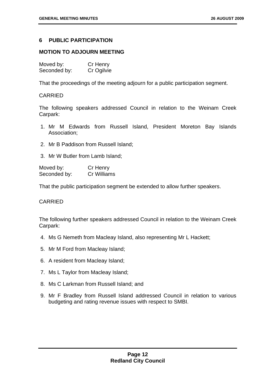#### <span id="page-8-0"></span>**6 PUBLIC PARTICIPATION**

#### **MOTION TO ADJOURN MEETING**

| Moved by:    | Cr Henry   |
|--------------|------------|
| Seconded by: | Cr Ogilvie |

That the proceedings of the meeting adjourn for a public participation segment.

#### CARRIED

The following speakers addressed Council in relation to the Weinam Creek Carpark:

- 1. Mr M Edwards from Russell Island, President Moreton Bay Islands Association;
- 2. Mr B Paddison from Russell Island;

3. Mr W Butler from Lamb Island;

| Moved by:    | Cr Henry    |
|--------------|-------------|
| Seconded by: | Cr Williams |

That the public participation segment be extended to allow further speakers.

#### CARRIED

The following further speakers addressed Council in relation to the Weinam Creek Carpark:

- 4. Ms G Nemeth from Macleay Island, also representing Mr L Hackett;
- 5. Mr M Ford from Macleay Island;
- 6. A resident from Macleay Island;
- 7. Ms L Taylor from Macleay Island;
- 8. Ms C Larkman from Russell Island; and
- 9. Mr F Bradley from Russell Island addressed Council in relation to various budgeting and rating revenue issues with respect to SMBI.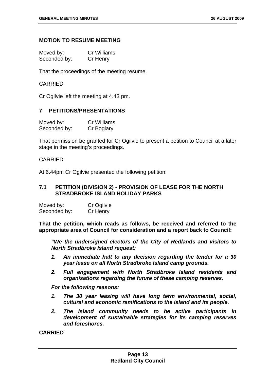#### <span id="page-9-0"></span>**MOTION TO RESUME MEETING**

| Moved by:    | Cr Williams |
|--------------|-------------|
| Seconded by: | Cr Henry    |

That the proceedings of the meeting resume.

#### CARRIED

Cr Ogilvie left the meeting at 4.43 pm.

#### **7 PETITIONS/PRESENTATIONS**

| Moved by:    | Cr Williams |
|--------------|-------------|
| Seconded by: | Cr Boglary  |

That permission be granted for Cr Ogilvie to present a petition to Council at a later stage in the meeting's proceedings.

#### CARRIED

At 6.44pm Cr Ogilvie presented the following petition:

#### **7.1 PETITION (DIVISION 2) - PROVISION OF LEASE FOR THE NORTH STRADBROKE ISLAND HOLIDAY PARKS**

| Moved by:    | Cr Ogilvie |
|--------------|------------|
| Seconded by: | Cr Henry   |

**That the petition, which reads as follows, be received and referred to the appropriate area of Council for consideration and a report back to Council:** 

 *"We the undersigned electors of the City of Redlands and visitors to North Stradbroke Island request:* 

- *1. An immediate halt to any decision regarding the tender for a 30 year lease on all North Stradbroke Island camp grounds.*
- *2. Full engagement with North Stradbroke Island residents and organisations regarding the future of these camping reserves.*

 *For the following reasons:* 

- *1. The 30 year leasing will have long term environmental, social, cultural and economic ramifications to the island and its people.*
- *2. The island community needs to be active participants in development of sustainable strategies for its camping reserves and foreshores.*

**CARRIED**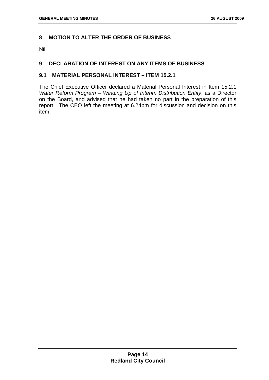#### <span id="page-10-0"></span>**8 MOTION TO ALTER THE ORDER OF BUSINESS**

Nil

#### **9 DECLARATION OF INTEREST ON ANY ITEMS OF BUSINESS**

#### **9.1 MATERIAL PERSONAL INTEREST – ITEM 15.2.1**

The Chief Executive Officer declared a Material Personal Interest in Item 15.2.1 *Water Reform Program – Winding Up of Interim Distribution Entity*, as a Director on the Board, and advised that he had taken no part in the preparation of this report. The CEO left the meeting at 6.24pm for discussion and decision on this item.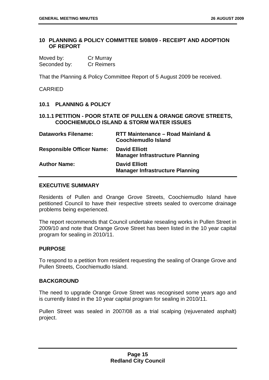#### <span id="page-11-0"></span>**10 PLANNING & POLICY COMMITTEE 5/08/09 - RECEIPT AND ADOPTION OF REPORT**

| Moved by:    | Cr Murray         |
|--------------|-------------------|
| Seconded by: | <b>Cr Reimers</b> |

That the Planning & Policy Committee Report of 5 August 2009 be received.

CARRIED

#### **10.1 PLANNING & POLICY**

#### **10.1.1 PETITION - POOR STATE OF PULLEN & ORANGE GROVE STREETS, COOCHIEMUDLO ISLAND & STORM WATER ISSUES**

| <b>Dataworks Filename:</b>       | RTT Maintenance - Road Mainland &<br><b>Coochiemudio Island</b> |
|----------------------------------|-----------------------------------------------------------------|
| <b>Responsible Officer Name:</b> | <b>David Elliott</b><br><b>Manager Infrastructure Planning</b>  |
| <b>Author Name:</b>              | <b>David Elliott</b><br><b>Manager Infrastructure Planning</b>  |

#### **EXECUTIVE SUMMARY**

Residents of Pullen and Orange Grove Streets, Coochiemudlo Island have petitioned Council to have their respective streets sealed to overcome drainage problems being experienced.

The report recommends that Council undertake resealing works in Pullen Street in 2009/10 and note that Orange Grove Street has been listed in the 10 year capital program for sealing in 2010/11.

#### **PURPOSE**

To respond to a petition from resident requesting the sealing of Orange Grove and Pullen Streets, Coochiemudlo Island.

#### **BACKGROUND**

The need to upgrade Orange Grove Street was recognised some years ago and is currently listed in the 10 year capital program for sealing in 2010/11.

Pullen Street was sealed in 2007/08 as a trial scalping (rejuvenated asphalt) project.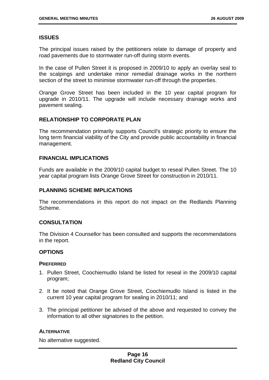#### **ISSUES**

The principal issues raised by the petitioners relate to damage of property and road pavements due to stormwater run-off during storm events.

In the case of Pullen Street it is proposed in 2009/10 to apply an overlay seal to the scalpings and undertake minor remedial drainage works in the northern section of the street to minimise stormwater run-off through the properties.

Orange Grove Street has been included in the 10 year capital program for upgrade in 2010/11. The upgrade will include necessary drainage works and pavement sealing.

#### **RELATIONSHIP TO CORPORATE PLAN**

The recommendation primarily supports Council's strategic priority to ensure the long term financial viability of the City and provide public accountability in financial management.

#### **FINANCIAL IMPLICATIONS**

Funds are available in the 2009/10 capital budget to reseal Pullen Street. The 10 year capital program lists Orange Grove Street for construction in 2010/11.

#### **PLANNING SCHEME IMPLICATIONS**

The recommendations in this report do not impact on the Redlands Planning Scheme.

#### **CONSULTATION**

The Division 4 Counsellor has been consulted and supports the recommendations in the report.

#### **OPTIONS**

#### **PREFERRED**

- 1. Pullen Street, Coochiemudlo Island be listed for reseal in the 2009/10 capital program;
- 2. It be noted that Orange Grove Street, Coochiemudlo Island is listed in the current 10 year capital program for sealing in 2010/11; and
- 3. The principal petitioner be advised of the above and requested to convey the information to all other signatories to the petition.

#### **ALTERNATIVE**

No alternative suggested.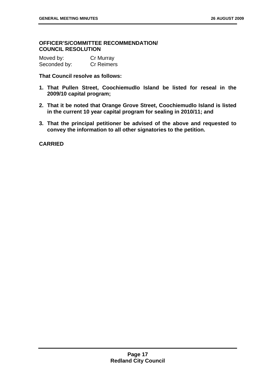#### **OFFICER'S/COMMITTEE RECOMMENDATION/ COUNCIL RESOLUTION**

| Moved by:    | Cr Murray         |
|--------------|-------------------|
| Seconded by: | <b>Cr Reimers</b> |

#### **That Council resolve as follows:**

- **1. That Pullen Street, Coochiemudlo Island be listed for reseal in the 2009/10 capital program;**
- **2. That it be noted that Orange Grove Street, Coochiemudlo Island is listed in the current 10 year capital program for sealing in 2010/11; and**
- **3. That the principal petitioner be advised of the above and requested to convey the information to all other signatories to the petition.**

**CARRIED**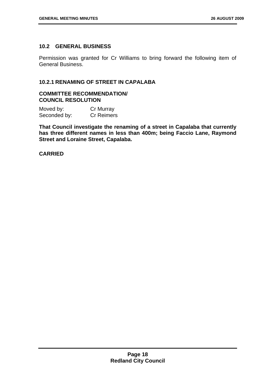#### <span id="page-14-0"></span>**10.2 GENERAL BUSINESS**

Permission was granted for Cr Williams to bring forward the following item of General Business.

#### **10.2.1 RENAMING OF STREET IN CAPALABA**

#### **COMMITTEE RECOMMENDATION/ COUNCIL RESOLUTION**

| Moved by:    | Cr Murray         |
|--------------|-------------------|
| Seconded by: | <b>Cr Reimers</b> |

**That Council investigate the renaming of a street in Capalaba that currently has three different names in less than 400m; being Faccio Lane, Raymond Street and Loraine Street, Capalaba.** 

**CARRIED**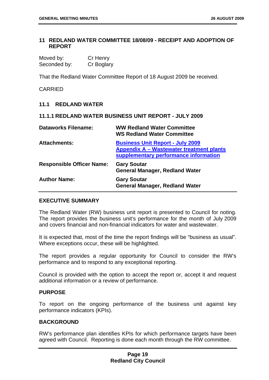#### <span id="page-15-0"></span>**11 REDLAND WATER COMMITTEE 18/08/09 - RECEIPT AND ADOPTION OF REPORT**

| Moved by:    | Cr Henry   |
|--------------|------------|
| Seconded by: | Cr Boglary |

That the Redland Water Committee Report of 18 August 2009 be received.

CARRIED

#### **11.1 REDLAND WATER**

#### **11.1.1 REDLAND WATER BUSINESS UNIT REPORT - JULY 2009**

| <b>Dataworks Filename:</b>       | <b>WW Redland Water Committee</b><br><b>WS Redland Water Committee</b>                                                       |
|----------------------------------|------------------------------------------------------------------------------------------------------------------------------|
| <b>Attachments:</b>              | <b>Business Unit Report - July 2009</b><br>Appendix A - Wastewater treatment plants<br>supplementary performance information |
| <b>Responsible Officer Name:</b> | <b>Gary Soutar</b><br><b>General Manager, Redland Water</b>                                                                  |
| <b>Author Name:</b>              | <b>Gary Soutar</b><br><b>General Manager, Redland Water</b>                                                                  |

#### **EXECUTIVE SUMMARY**

The Redland Water (RW) business unit report is presented to Council for noting. The report provides the business unit's performance for the month of July 2009 and covers financial and non-financial indicators for water and wastewater.

It is expected that, most of the time the report findings will be "business as usual". Where exceptions occur, these will be highlighted.

The report provides a regular opportunity for Council to consider the RW's performance and to respond to any exceptional reporting.

Council is provided with the option to accept the report or, accept it and request additional information or a review of performance.

#### **PURPOSE**

To report on the ongoing performance of the business unit against key performance indicators (KPIs).

#### **BACKGROUND**

RW's performance plan identifies KPIs for which performance targets have been agreed with Council. Reporting is done each month through the RW committee.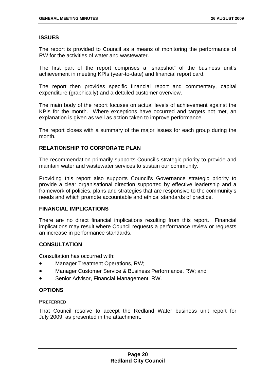#### **ISSUES**

The report is provided to Council as a means of monitoring the performance of RW for the activities of water and wastewater.

The first part of the report comprises a "snapshot" of the business unit's achievement in meeting KPIs (year-to-date) and financial report card.

The report then provides specific financial report and commentary, capital expenditure (graphically) and a detailed customer overview.

The main body of the report focuses on actual levels of achievement against the KPIs for the month. Where exceptions have occurred and targets not met, an explanation is given as well as action taken to improve performance.

The report closes with a summary of the major issues for each group during the month.

#### **RELATIONSHIP TO CORPORATE PLAN**

The recommendation primarily supports Council's strategic priority to provide and maintain water and wastewater services to sustain our community.

Providing this report also supports Council's Governance strategic priority to provide a clear organisational direction supported by effective leadership and a framework of policies, plans and strategies that are responsive to the community's needs and which promote accountable and ethical standards of practice.

#### **FINANCIAL IMPLICATIONS**

There are no direct financial implications resulting from this report. Financial implications may result where Council requests a performance review or requests an increase in performance standards.

#### **CONSULTATION**

Consultation has occurred with:

- Manager Treatment Operations, RW;
- Manager Customer Service & Business Performance, RW; and
- Senior Advisor, Financial Management, RW.

#### **OPTIONS**

#### **PREFERRED**

That Council resolve to accept the Redland Water business unit report for July 2009, as presented in the attachment.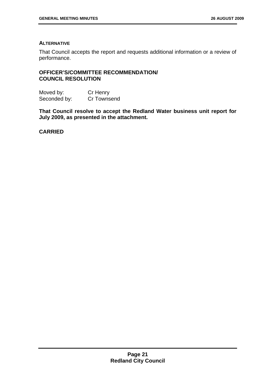#### **ALTERNATIVE**

That Council accepts the report and requests additional information or a review of performance.

#### **OFFICER'S/COMMITTEE RECOMMENDATION/ COUNCIL RESOLUTION**

Moved by: Cr Henry Seconded by: Cr Townsend

**That Council resolve to accept the Redland Water business unit report for July 2009, as presented in the attachment.** 

**CARRIED**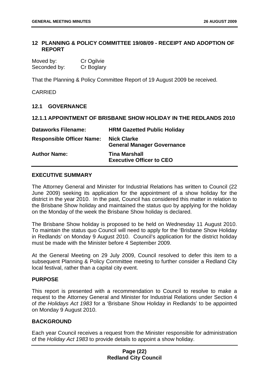#### <span id="page-18-0"></span>**12 PLANNING & POLICY COMMITTEE 19/08/09 - RECEIPT AND ADOPTION OF REPORT**

| Moved by:    | Cr Ogilvie |
|--------------|------------|
| Seconded by: | Cr Boglary |

That the Planning & Policy Committee Report of 19 August 2009 be received.

#### CARRIED

#### **12.1 GOVERNANCE**

#### **12.1.1 APPOINTMENT OF BRISBANE SHOW HOLIDAY IN THE REDLANDS 2010**

| <b>Dataworks Filename:</b>       | <b>HRM Gazetted Public Holiday</b>                      |
|----------------------------------|---------------------------------------------------------|
| <b>Responsible Officer Name:</b> | <b>Nick Clarke</b><br><b>General Manager Governance</b> |
| <b>Author Name:</b>              | <b>Tina Marshall</b><br><b>Executive Officer to CEO</b> |

#### **EXECUTIVE SUMMARY**

The Attorney General and Minister for Industrial Relations has written to Council (22 June 2009) seeking its application for the appointment of a show holiday for the district in the year 2010. In the past, Council has considered this matter in relation to the Brisbane Show holiday and maintained the status quo by applying for the holiday on the Monday of the week the Brisbane Show holiday is declared.

The Brisbane Show holiday is proposed to be held on Wednesday 11 August 2010. To maintain the status quo Council will need to apply for the 'Brisbane Show Holiday in Redlands' on Monday 9 August 2010. Council's application for the district holiday must be made with the Minister before 4 September 2009.

At the General Meeting on 29 July 2009, Council resolved to defer this item to a subsequent Planning & Policy Committee meeting to further consider a Redland City local festival, rather than a capital city event.

#### **PURPOSE**

This report is presented with a recommendation to Council to resolve to make a request to the Attorney General and Minister for Industrial Relations under Section 4 of *the Holidays Act 1983* for a 'Brisbane Show Holiday in Redlands' to be appointed on Monday 9 August 2010.

#### **BACKGROUND**

Each year Council receives a request from the Minister responsible for administration of the *Holiday Act 1983* to provide details to appoint a show holiday.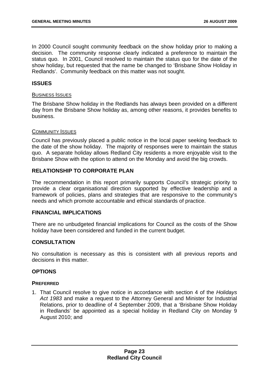In 2000 Council sought community feedback on the show holiday prior to making a decision. The community response clearly indicated a preference to maintain the status quo. In 2001, Council resolved to maintain the status quo for the date of the show holiday, but requested that the name be changed to 'Brisbane Show Holiday in Redlands'. Community feedback on this matter was not sought.

#### **ISSUES**

#### BUSINESS ISSUES

The Brisbane Show holiday in the Redlands has always been provided on a different day from the Brisbane Show holiday as, among other reasons, it provides benefits to business.

#### COMMUNITY ISSUES

Council has previously placed a public notice in the local paper seeking feedback to the date of the show holiday. The majority of responses were to maintain the status quo. A separate holiday allows Redland City residents a more enjoyable visit to the Brisbane Show with the option to attend on the Monday and avoid the big crowds.

#### **RELATIONSHIP TO CORPORATE PLAN**

The recommendation in this report primarily supports Council's strategic priority to provide a clear organisational direction supported by effective leadership and a framework of policies, plans and strategies that are responsive to the community's needs and which promote accountable and ethical standards of practice.

#### **FINANCIAL IMPLICATIONS**

There are no unbudgeted financial implications for Council as the costs of the Show holiday have been considered and funded in the current budget.

#### **CONSULTATION**

No consultation is necessary as this is consistent with all previous reports and decisions in this matter.

#### **OPTIONS**

#### **PREFERRED**

1. That Council resolve to give notice in accordance with section 4 of the *Holidays Act 1983* and make a request to the Attorney General and Minister for Industrial Relations, prior to deadline of 4 September 2009, that a 'Brisbane Show Holiday in Redlands' be appointed as a special holiday in Redland City on Monday 9 August 2010; and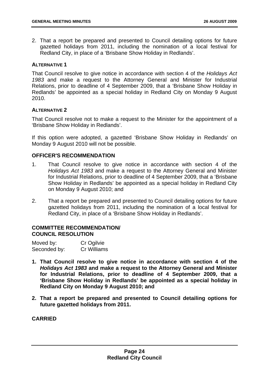2. That a report be prepared and presented to Council detailing options for future gazetted holidays from 2011, including the nomination of a local festival for Redland City, in place of a 'Brisbane Show Holiday in Redlands'.

#### **ALTERNATIVE 1**

That Council resolve to give notice in accordance with section 4 of the *Holidays Act 1983* and make a request to the Attorney General and Minister for Industrial Relations, prior to deadline of 4 September 2009, that a 'Brisbane Show Holiday in Redlands' be appointed as a special holiday in Redland City on Monday 9 August 2010.

#### **ALTERNATIVE 2**

That Council resolve not to make a request to the Minister for the appointment of a 'Brisbane Show Holiday in Redlands'.

If this option were adopted, a gazetted 'Brisbane Show Holiday in Redlands' on Monday 9 August 2010 will not be possible.

#### **OFFICER'S RECOMMENDATION**

- 1. That Council resolve to give notice in accordance with section 4 of the *Holidays Act 1983* and make a request to the Attorney General and Minister for Industrial Relations, prior to deadline of 4 September 2009, that a 'Brisbane Show Holiday in Redlands' be appointed as a special holiday in Redland City on Monday 9 August 2010; and
- 2. That a report be prepared and presented to Council detailing options for future gazetted holidays from 2011, including the nomination of a local festival for Redland City, in place of a 'Brisbane Show Holiday in Redlands'.

#### **COMMITTEE RECOMMENDATION/ COUNCIL RESOLUTION**

| Moved by:    | Cr Ogilvie  |
|--------------|-------------|
| Seconded by: | Cr Williams |

- **1. That Council resolve to give notice in accordance with section 4 of the**  *Holidays Act 1983* **and make a request to the Attorney General and Minister for Industrial Relations, prior to deadline of 4 September 2009, that a 'Brisbane Show Holiday in Redlands' be appointed as a special holiday in Redland City on Monday 9 August 2010; and**
- **2. That a report be prepared and presented to Council detailing options for future gazetted holidays from 2011.**

**CARRIED**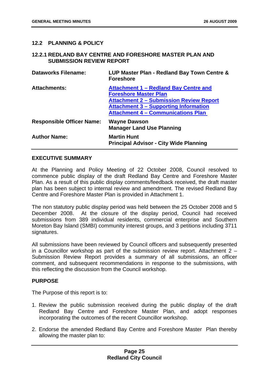#### <span id="page-21-0"></span>**12.2 PLANNING & POLICY**

#### **12.2.1 REDLAND BAY CENTRE AND FORESHORE MASTER PLAN AND SUBMISSION REVIEW REPORT**

| <b>Dataworks Filename:</b>       | LUP Master Plan - Redland Bay Town Centre &<br><b>Foreshore</b>                                                                                                                                                      |
|----------------------------------|----------------------------------------------------------------------------------------------------------------------------------------------------------------------------------------------------------------------|
| <b>Attachments:</b>              | Attachment 1 - Redland Bay Centre and<br><b>Foreshore Master Plan</b><br><b>Attachment 2 - Submission Review Report</b><br><b>Attachment 3 – Supporting Information</b><br><b>Attachment 4 - Communications Plan</b> |
| <b>Responsible Officer Name:</b> | <b>Wayne Dawson</b><br><b>Manager Land Use Planning</b>                                                                                                                                                              |
| <b>Author Name:</b>              | <b>Martin Hunt</b><br><b>Principal Advisor - City Wide Planning</b>                                                                                                                                                  |

#### **EXECUTIVE SUMMARY**

At the Planning and Policy Meeting of 22 October 2008, Council resolved to commence public display of the draft Redland Bay Centre and Foreshore Master Plan. As a result of this public display comments/feedback received, the draft master plan has been subject to internal review and amendment. The revised Redland Bay Centre and Foreshore Master Plan is provided in Attachment 1.

The non statutory public display period was held between the 25 October 2008 and 5 December 2008. At the closure of the display period, Council had received submissions from 389 individual residents, commercial enterprise and Southern Moreton Bay Island (SMBI) community interest groups, and 3 petitions including 3711 signatures.

All submissions have been reviewed by Council officers and subsequently presented in a Councillor workshop as part of the submission review report. Attachment 2 – Submission Review Report provides a summary of all submissions, an officer comment, and subsequent recommendations in response to the submissions, with this reflecting the discussion from the Council workshop.

#### **PURPOSE**

The Purpose of this report is to:

- 1. Review the public submission received during the public display of the draft Redland Bay Centre and Foreshore Master Plan, and adopt responses incorporating the outcomes of the recent Councillor workshop.
- 2. Endorse the amended Redland Bay Centre and Foreshore Master Plan thereby allowing the master plan to: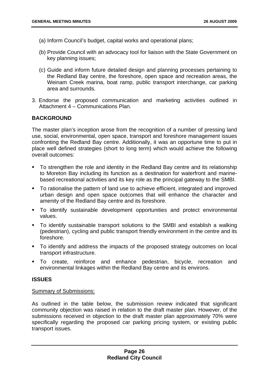- (a) Inform Council's budget, capital works and operational plans;
- (b) Provide Council with an advocacy tool for liaison with the State Government on key planning issues;
- (c) Guide and inform future detailed design and planning processes pertaining to the Redland Bay centre, the foreshore, open space and recreation areas, the Weinam Creek marina, boat ramp, public transport interchange, car parking area and surrounds.
- 3. Endorse the proposed communication and marketing activities outlined in Attachment 4 – Communications Plan.

#### **BACKGROUND**

The master plan's inception arose from the recognition of a number of pressing land use, social, environmental, open space, transport and foreshore management issues confronting the Redland Bay centre. Additionally, it was an opportune time to put in place well defined strategies (short to long term) which would achieve the following overall outcomes:

- To strengthen the role and identity in the Redland Bay centre and its relationship to Moreton Bay including its function as a destination for waterfront and marinebased recreational activities and its key role as the principal gateway to the SMBI.
- To rationalise the pattern of land use to achieve efficient, integrated and improved urban design and open space outcomes that will enhance the character and amenity of the Redland Bay centre and its foreshore.
- To identify sustainable development opportunities and protect environmental values.
- To identify sustainable transport solutions to the SMBI and establish a walking (pedestrian), cycling and public transport friendly environment in the centre and its foreshore.
- To identify and address the impacts of the proposed strategy outcomes on local transport infrastructure.
- To create, reinforce and enhance pedestrian, bicycle, recreation and environmental linkages within the Redland Bay centre and its environs.

#### **ISSUES**

#### Summary of Submissions:

As outlined in the table below, the submission review indicated that significant community objection was raised in relation to the draft master plan. However, of the submissions received in objection to the draft master plan approximately 70% were specifically regarding the proposed car parking pricing system, or existing public transport issues.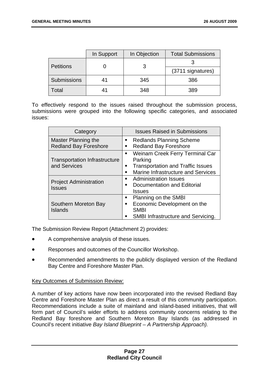|                  | In Support | In Objection | <b>Total Submissions</b> |
|------------------|------------|--------------|--------------------------|
| <b>Petitions</b> |            |              |                          |
|                  |            |              | (3711 signatures)        |
| Submissions      | 41         | 345          | 386                      |
| Total            | 41         | 348          | 389                      |

To effectively respond to the issues raised throughout the submission process, submissions were grouped into the following specific categories, and associated issues:

| Category                                             | <b>Issues Raised in Submissions</b>                                                                                          |
|------------------------------------------------------|------------------------------------------------------------------------------------------------------------------------------|
| Master Planning the<br><b>Redland Bay Foreshore</b>  | <b>Redlands Planning Scheme</b><br>$\blacksquare$<br><b>Redland Bay Foreshore</b><br>п                                       |
| <b>Transportation Infrastructure</b><br>and Services | Weinam Creek Ferry Terminal Car<br>Parking<br><b>Transportation and Traffic Issues</b><br>Marine Infrastructure and Services |
| <b>Project Administration</b><br><b>Issues</b>       | <b>Administration Issues</b><br>Documentation and Editorial<br><b>Issues</b>                                                 |
| Southern Moreton Bay<br><b>Islands</b>               | Planning on the SMBI<br>п.<br>Economic Development on the<br><b>SMBI</b><br>SMBI Infrastructure and Servicing.               |

The Submission Review Report (Attachment 2) provides:

- A comprehensive analysis of these issues.
- Responses and outcomes of the Councillor Workshop.
- Recommended amendments to the publicly displayed version of the Redland Bay Centre and Foreshore Master Plan.

#### Key Outcomes of Submission Review:

A number of key actions have now been incorporated into the revised Redland Bay Centre and Foreshore Master Plan as direct a result of this community participation. Recommendations include a suite of mainland and island-based initiatives, that will form part of Council's wider efforts to address community concerns relating to the Redland Bay foreshore and Southern Moreton Bay Islands (as addressed in Council's recent initiative *Bay Island Blueprint – A Partnership Approach).*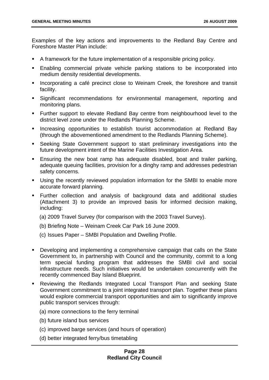Examples of the key actions and improvements to the Redland Bay Centre and Foreshore Master Plan include:

- A framework for the future implementation of a responsible pricing policy.
- Enabling commercial private vehicle parking stations to be incorporated into medium density residential developments.
- **Incorporating a café precinct close to Weinam Creek, the foreshore and transit** facility.
- Significant recommendations for environmental management, reporting and monitoring plans.
- Further support to elevate Redland Bay centre from neighbourhood level to the district level zone under the Redlands Planning Scheme.
- **Increasing opportunities to establish tourist accommodation at Redland Bay** (through the abovementioned amendment to the Redlands Planning Scheme).
- Seeking State Government support to start preliminary investigations into the future development intent of the Marine Facilities Investigation Area.
- Ensuring the new boat ramp has adequate disabled, boat and trailer parking, adequate queuing facilities, provision for a dinghy ramp and addresses pedestrian safety concerns.
- Using the recently reviewed population information for the SMBI to enable more accurate forward planning.
- Further collection and analysis of background data and additional studies (Attachment 3) to provide an improved basis for informed decision making, including:
	- (a) 2009 Travel Survey (for comparison with the 2003 Travel Survey).
	- (b) Briefing Note Weinam Creek Car Park 16 June 2009.
	- (c) Issues Paper SMBI Population and Dwelling Profile.
- Developing and implementing a comprehensive campaign that calls on the State Government to, in partnership with Council and the community, commit to a long term special funding program that addresses the SMBI civil and social infrastructure needs. Such initiatives would be undertaken concurrently with the recently commenced Bay Island Blueprint.
- Reviewing the Redlands Integrated Local Transport Plan and seeking State Government commitment to a joint integrated transport plan. Together these plans would explore commercial transport opportunities and aim to significantly improve public transport services through:
	- (a) more connections to the ferry terminal
	- (b) future island bus services
	- (c) improved barge services (and hours of operation)
	- (d) better integrated ferry/bus timetabling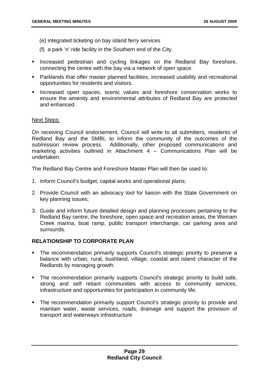- (e) integrated ticketing on bay island ferry services
- (f) a park 'n' ride facility in the Southern end of the City.
- **Increased pedestrian and cycling linkages on the Redland Bay foreshore,** connecting the centre with the bay via a network of open space.
- Parklands that offer master planned facilities, increased usability and recreational opportunities for residents and visitors.
- **Increased open spaces, scenic values and foreshore conservation works to** ensure the amenity and environmental attributes of Redland Bay are protected and enhanced.

#### Next Steps:

On receiving Council endorsement, Council will write to all submitters, residents of Redland Bay and the SMBI, to inform the community of the outcomes of the submission review process. Additionally, other proposed communications and marketing activities outlined in Attachment 4 – Communications Plan will be undertaken.

The Redland Bay Centre and Foreshore Master Plan will then be used to:

- 1. Inform Council's budget, capital works and operational plans;
- 2. Provide Council with an advocacy tool for liaison with the State Government on key planning issues;
- 3. Guide and inform future detailed design and planning processes pertaining to the Redland Bay centre, the foreshore, open space and recreation areas, the Weinam Creek marina, boat ramp, public transport interchange, car parking area and surrounds.

#### **RELATIONSHIP TO CORPORATE PLAN**

- The recommendation primarily supports Council's strategic priority to preserve a balance with urban, rural, bushland, village, coastal and island character of the Redlands by managing growth.
- The recommendation primarily supports Council's strategic priority to build safe, strong and self reliant communities with access to community services, infrastructure and opportunities for participation in community life.
- **The recommendation primarily support Council's strategic priority to provide and** maintain water, waste services, roads, drainage and support the provision of transport and waterways infrastructure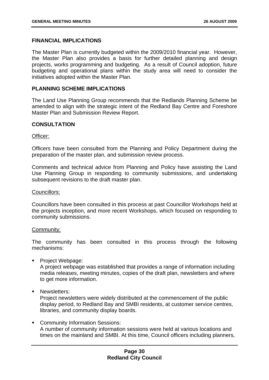#### **FINANCIAL IMPLICATIONS**

The Master Plan is currently budgeted within the 2009/2010 financial year. However, the Master Plan also provides a basis for further detailed planning and design projects, works programming and budgeting. As a result of Council adoption, future budgeting and operational plans within the study area will need to consider the initiatives adopted within the Master Plan.

#### **PLANNING SCHEME IMPLICATIONS**

The Land Use Planning Group recommends that the Redlands Planning Scheme be amended to align with the strategic intent of the Redland Bay Centre and Foreshore Master Plan and Submission Review Report.

#### **CONSULTATION**

#### Officer:

Officers have been consulted from the Planning and Policy Department during the preparation of the master plan, and submission review process.

Comments and technical advice from Planning and Policy have assisting the Land Use Planning Group in responding to community submissions, and undertaking subsequent revisions to the draft master plan.

#### Councillors:

Councillors have been consulted in this process at past Councillor Workshops held at the projects inception, and more recent Workshops, which focused on responding to community submissions.

#### Community:

The community has been consulted in this process through the following mechanisms:

**Project Webpage:** 

A project webpage was established that provides a range of information including media releases, meeting minutes, copies of the draft plan, newsletters and where to get more information.

**Newsletters:** 

Project newsletters were widely distributed at the commencement of the public display period, to Redland Bay and SMBI residents, at customer service centres, libraries, and community display boards.

**Community Information Sessions:** A number of community information sessions were held at various locations and times on the mainland and SMBI. At this time, Council officers including planners,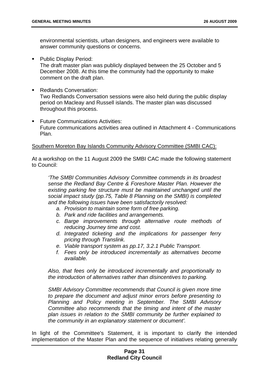environmental scientists, urban designers, and engineers were available to answer community questions or concerns.

**Public Display Period:** 

The draft master plan was publicly displayed between the 25 October and 5 December 2008. At this time the community had the opportunity to make comment on the draft plan.

- Redlands Conversation: Two Redlands Conversation sessions were also held during the public display period on Macleay and Russell islands. The master plan was discussed throughout this process.
- **Future Communications Activities:** Future communications activities area outlined in Attachment 4 - Communications Plan.

#### Southern Moreton Bay Islands Community Advisory Committee (SMBI CAC):

At a workshop on the 11 August 2009 the SMBI CAC made the following statement to Council:

*'The SMBI Communities Advisory Committee commends in its broadest sense the Redland Bay Centre & Foreshore Master Plan. However the existing parking fee structure must be maintained unchanged until the social impact study (pp.75, Table 8 Planning on the SMBI) is completed and the following issues have been satisfactorily resolved:* 

- *a. Provision to maintain some form of free parking.*
- *b. Park and ride facilities and arrangements.*
- *c. Barge improvements through alternative route methods of reducing Journey time and cost.*
- *d. Integrated ticketing and the implications for passenger ferry pricing through Translink.*
- *e. Viable transport system as pp.17, 3.2.1 Public Transport.*
- *f. Fees only be introduced incrementally as alternatives become available.*

*Also, that fees only be introduced incrementally and proportionally to the introduction of alternatives rather than disincentives to parking.* 

*SMBI Advisory Committee recommends that Council is given more time to prepare the document and adjust minor errors before presenting to Planning and Policy meeting in September. The SMBI Advisory Committee also recommends that the timing and intent of the master plan issues in relation to the SMBI community be further explained to the community in an explanatory statement or document'.* 

In light of the Committee's Statement, it is important to clarify the intended implementation of the Master Plan and the sequence of initiatives relating generally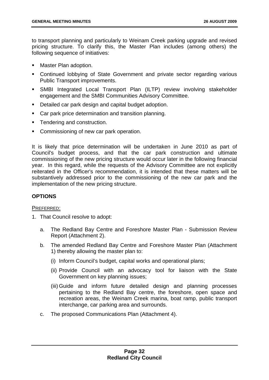to transport planning and particularly to Weinam Creek parking upgrade and revised pricing structure. To clarify this, the Master Plan includes (among others) the following sequence of initiatives:

- Master Plan adoption.
- Continued lobbying of State Government and private sector regarding various Public Transport improvements.
- SMBI Integrated Local Transport Plan (ILTP) review involving stakeholder engagement and the SMBI Communities Advisory Committee.
- **Detailed car park design and capital budget adoption.**
- Car park price determination and transition planning.
- **Tendering and construction.**
- **Commissioning of new car park operation.**

It is likely that price determination will be undertaken in June 2010 as part of Council's budget process, and that the car park construction and ultimate commissioning of the new pricing structure would occur later in the following financial year. In this regard, while the requests of the Advisory Committee are not explicitly reiterated in the Officer's recommendation, it is intended that these matters will be substantively addressed prior to the commissioning of the new car park and the implementation of the new pricing structure.

#### **OPTIONS**

#### PREFERRED:

- 1. That Council resolve to adopt:
	- a. The Redland Bay Centre and Foreshore Master Plan Submission Review Report (Attachment 2).
	- b. The amended Redland Bay Centre and Foreshore Master Plan (Attachment 1) thereby allowing the master plan to:
		- (i) Inform Council's budget, capital works and operational plans;
		- (ii) Provide Council with an advocacy tool for liaison with the State Government on key planning issues;
		- (iii) Guide and inform future detailed design and planning processes pertaining to the Redland Bay centre, the foreshore, open space and recreation areas, the Weinam Creek marina, boat ramp, public transport interchange, car parking area and surrounds.
	- c. The proposed Communications Plan (Attachment 4).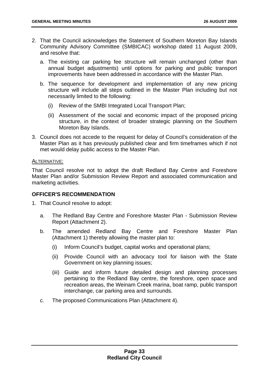- 2. That the Council acknowledges the Statement of Southern Moreton Bay Islands Community Advisory Committee (SMBICAC) workshop dated 11 August 2009, and resolve that:
	- a. The existing car parking fee structure will remain unchanged (other than annual budget adjustments) until options for parking and public transport improvements have been addressed in accordance with the Master Plan.
	- b. The sequence for development and implementation of any new pricing structure will include all steps outlined in the Master Plan including but not necessarily limited to the following:
		- (i) Review of the SMBI Integrated Local Transport Plan;
		- (ii) Assessment of the social and economic impact of the proposed pricing structure, in the context of broader strategic planning on the Southern Moreton Bay Islands.
- 3. Council does not accede to the request for delay of Council's consideration of the Master Plan as it has previously published clear and firm timeframes which if not met would delay public access to the Master Plan.

#### ALTERNATIVE:

That Council resolve not to adopt the draft Redland Bay Centre and Foreshore Master Plan and/or Submission Review Report and associated communication and marketing activities.

#### **OFFICER'S RECOMMENDATION**

- 1. That Council resolve to adopt:
	- a. The Redland Bay Centre and Foreshore Master Plan Submission Review Report (Attachment 2).
	- b. The amended Redland Bay Centre and Foreshore Master Plan (Attachment 1) thereby allowing the master plan to:
		- (i) Inform Council's budget, capital works and operational plans;
		- (ii) Provide Council with an advocacy tool for liaison with the State Government on key planning issues;
		- (iii) Guide and inform future detailed design and planning processes pertaining to the Redland Bay centre, the foreshore, open space and recreation areas, the Weinam Creek marina, boat ramp, public transport interchange, car parking area and surrounds.
	- c. The proposed Communications Plan (Attachment 4).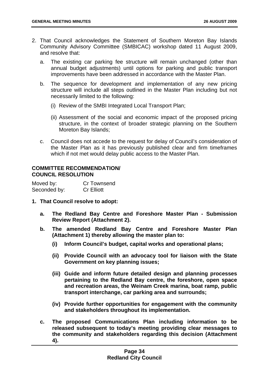- 2. That Council acknowledges the Statement of Southern Moreton Bay Islands Community Advisory Committee (SMBICAC) workshop dated 11 August 2009, and resolve that:
	- a. The existing car parking fee structure will remain unchanged (other than annual budget adjustments) until options for parking and public transport improvements have been addressed in accordance with the Master Plan.
	- b. The sequence for development and implementation of any new pricing structure will include all steps outlined in the Master Plan including but not necessarily limited to the following:
		- (i) Review of the SMBI Integrated Local Transport Plan;
		- (ii) Assessment of the social and economic impact of the proposed pricing structure, in the context of broader strategic planning on the Southern Moreton Bay Islands;
	- c. Council does not accede to the request for delay of Council's consideration of the Master Plan as it has previously published clear and firm timeframes which if not met would delay public access to the Master Plan.

#### **COMMITTEE RECOMMENDATION/ COUNCIL RESOLUTION**

| Moved by:    | Cr Townsend       |
|--------------|-------------------|
| Seconded by: | <b>Cr Elliott</b> |

- **1. That Council resolve to adopt:** 
	- **a. The Redland Bay Centre and Foreshore Master Plan Submission Review Report (Attachment 2).**
	- **b. The amended Redland Bay Centre and Foreshore Master Plan (Attachment 1) thereby allowing the master plan to:** 
		- **(i) Inform Council's budget, capital works and operational plans;**
		- **(ii) Provide Council with an advocacy tool for liaison with the State Government on key planning issues;**
		- **(iii) Guide and inform future detailed design and planning processes pertaining to the Redland Bay centre, the foreshore, open space and recreation areas, the Weinam Creek marina, boat ramp, public transport interchange, car parking area and surrounds;**
		- **(iv) Provide further opportunities for engagement with the community and stakeholders throughout its implementation.**
	- **c. The proposed Communications Plan including information to be released subsequent to today's meeting providing clear messages to the community and stakeholders regarding this decision (Attachment 4).**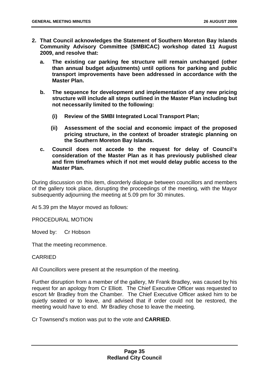- **2. That Council acknowledges the Statement of Southern Moreton Bay Islands Community Advisory Committee (SMBICAC) workshop dated 11 August 2009, and resolve that:** 
	- **a. The existing car parking fee structure will remain unchanged (other than annual budget adjustments) until options for parking and public transport improvements have been addressed in accordance with the Master Plan.**
	- **b. The sequence for development and implementation of any new pricing structure will include all steps outlined in the Master Plan including but not necessarily limited to the following:** 
		- **(i) Review of the SMBI Integrated Local Transport Plan;**
		- **(ii) Assessment of the social and economic impact of the proposed pricing structure, in the context of broader strategic planning on the Southern Moreton Bay Islands.**
	- **c. Council does not accede to the request for delay of Council's consideration of the Master Plan as it has previously published clear and firm timeframes which if not met would delay public access to the Master Plan.**

During discussion on this item, disorderly dialogue between councillors and members of the gallery took place, disrupting the proceedings of the meeting, with the Mayor subsequently adjourning the meeting at 5.09 pm for 30 minutes.

At 5.39 pm the Mayor moved as follows:

PROCEDURAL MOTION

Moved by: Cr Hobson

That the meeting recommence.

#### CARRIED

All Councillors were present at the resumption of the meeting.

Further disruption from a member of the gallery, Mr Frank Bradley, was caused by his request for an apology from Cr Elliott. The Chief Executive Officer was requested to escort Mr Bradley from the Chamber. The Chief Executive Officer asked him to be quietly seated or to leave, and advised that if order could not be restored, the meeting would have to end. Mr Bradley chose to leave the meeting.

Cr Townsend's motion was put to the vote and **CARRIED**.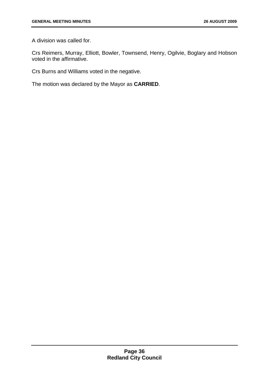A division was called for.

Crs Reimers, Murray, Elliott, Bowler, Townsend, Henry, Ogilvie, Boglary and Hobson voted in the affirmative.

Crs Burns and Williams voted in the negative.

The motion was declared by the Mayor as **CARRIED**.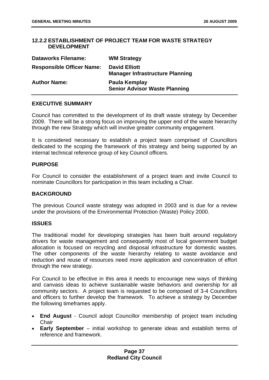#### <span id="page-33-0"></span>**12.2.2 ESTABLISHMENT OF PROJECT TEAM FOR WASTE STRATEGY DEVELOPMENT**

| <b>Dataworks Filename:</b>       | <b>WM Strategy</b>                                             |
|----------------------------------|----------------------------------------------------------------|
| <b>Responsible Officer Name:</b> | <b>David Elliott</b><br><b>Manager Infrastructure Planning</b> |
| <b>Author Name:</b>              | Paula Kemplay<br><b>Senior Advisor Waste Planning</b>          |

#### **EXECUTIVE SUMMARY**

Council has committed to the development of its draft waste strategy by December 2009. There will be a strong focus on improving the upper end of the waste hierarchy through the new Strategy which will involve greater community engagement.

It is considered necessary to establish a project team comprised of Councillors dedicated to the scoping the framework of this strategy and being supported by an internal technical reference group of key Council officers.

#### **PURPOSE**

For Council to consider the establishment of a project team and invite Council to nominate Councillors for participation in this team including a Chair.

#### **BACKGROUND**

The previous Council waste strategy was adopted in 2003 and is due for a review under the provisions of the Environmental Protection (Waste) Policy 2000.

#### **ISSUES**

The traditional model for developing strategies has been built around regulatory drivers for waste management and consequently most of local government budget allocation is focused on recycling and disposal infrastructure for domestic wastes. The other components of the waste hierarchy relating to waste avoidance and reduction and reuse of resources need more application and concentration of effort through the new strategy.

For Council to be effective in this area it needs to encourage new ways of thinking and canvass ideas to achieve sustainable waste behaviors and ownership for all community sectors. A project team is requested to be composed of 3-4 Councillors and officers to further develop the framework. To achieve a strategy by December the following timeframes apply.

- **End August** Council adopt Councillor membership of project team including **Chair**
- **Early September** initial workshop to generate ideas and establish terms of reference and framework.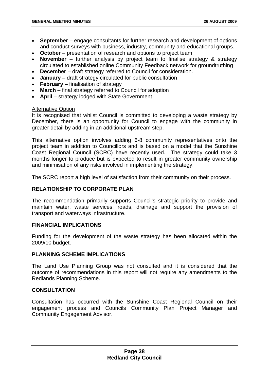- **September** engage consultants for further research and development of options and conduct surveys with business, industry, community and educational groups.
- **October** presentation of research and options to project team
- **November**  further analysis by project team to finalise strategy & strategy circulated to established online Community Feedback network for groundtruthing
- **December** draft strategy referred to Council for consideration.
- **January** draft strategy circulated for public consultation
- **February** finalisation of strategy
- **March** final strategy referred to Council for adoption
- **April** strategy lodged with State Government

#### **Alternative Option**

It is recognised that whilst Council is committed to developing a waste strategy by December, there is an opportunity for Council to engage with the community in greater detail by adding in an additional upstream step.

This alternative option involves adding 6-8 community representatives onto the project team in addition to Councillors and is based on a model that the Sunshine Coast Regional Council (SCRC) have recently used. The strategy could take 3 months longer to produce but is expected to result in greater community ownership and minimisation of any risks involved in implementing the strategy.

The SCRC report a high level of satisfaction from their community on their process.

#### **RELATIONSHIP TO CORPORATE PLAN**

The recommendation primarily supports Council's strategic priority to provide and maintain water, waste services, roads, drainage and support the provision of transport and waterways infrastructure.

#### **FINANCIAL IMPLICATIONS**

Funding for the development of the waste strategy has been allocated within the 2009/10 budget.

#### **PLANNING SCHEME IMPLICATIONS**

The Land Use Planning Group was not consulted and it is considered that the outcome of recommendations in this report will not require any amendments to the Redlands Planning Scheme.

#### **CONSULTATION**

Consultation has occurred with the Sunshine Coast Regional Council on their engagement process and Councils Community Plan Project Manager and Community Engagement Advisor.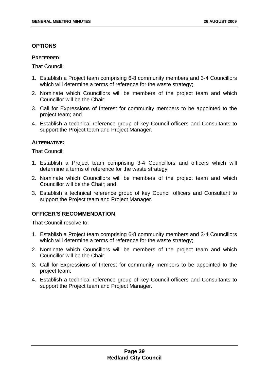#### **OPTIONS**

#### **PREFERRED:**

That Council:

- 1. Establish a Project team comprising 6-8 community members and 3-4 Councillors which will determine a terms of reference for the waste strategy;
- 2. Nominate which Councillors will be members of the project team and which Councillor will be the Chair;
- 3. Call for Expressions of Interest for community members to be appointed to the project team; and
- 4. Establish a technical reference group of key Council officers and Consultants to support the Project team and Project Manager.

#### **ALTERNATIVE:**

That Council:

- 1. Establish a Project team comprising 3-4 Councillors and officers which will determine a terms of reference for the waste strategy;
- 2. Nominate which Councillors will be members of the project team and which Councillor will be the Chair; and
- 3. Establish a technical reference group of key Council officers and Consultant to support the Project team and Project Manager.

#### **OFFICER'S RECOMMENDATION**

That Council resolve to:

- 1. Establish a Project team comprising 6-8 community members and 3-4 Councillors which will determine a terms of reference for the waste strategy;
- 2. Nominate which Councillors will be members of the project team and which Councillor will be the Chair;
- 3. Call for Expressions of Interest for community members to be appointed to the project team;
- 4. Establish a technical reference group of key Council officers and Consultants to support the Project team and Project Manager.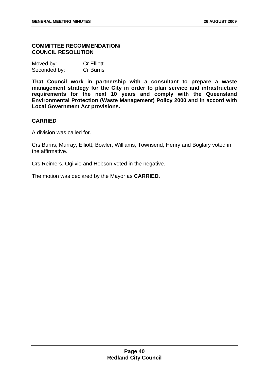## **COMMITTEE RECOMMENDATION/ COUNCIL RESOLUTION**

| Moved by:    | <b>Cr Elliott</b> |
|--------------|-------------------|
| Seconded by: | Cr Burns          |

**That Council work in partnership with a consultant to prepare a waste management strategy for the City in order to plan service and infrastructure requirements for the next 10 years and comply with the Queensland Environmental Protection (Waste Management) Policy 2000 and in accord with Local Government Act provisions.** 

## **CARRIED**

A division was called for.

Crs Burns, Murray, Elliott, Bowler, Williams, Townsend, Henry and Boglary voted in the affirmative.

Crs Reimers, Ogilvie and Hobson voted in the negative.

The motion was declared by the Mayor as **CARRIED**.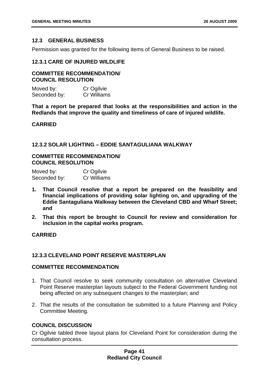## **12.3 GENERAL BUSINESS**

Permission was granted for the following items of General Business to be raised.

## **12.3.1 CARE OF INJURED WILDLIFE**

## **COMMITTEE RECOMMENDATION/ COUNCIL RESOLUTION**

| Moved by:    | Cr Ogilvie  |
|--------------|-------------|
| Seconded by: | Cr Williams |

**That a report be prepared that looks at the responsibilities and action in the Redlands that improve the quality and timeliness of care of injured wildlife.** 

## **CARRIED**

## **12.3.2 SOLAR LIGHTING – EDDIE SANTAGULIANA WALKWAY**

## **COMMITTEE RECOMMENDATION/ COUNCIL RESOLUTION**

| Moved by:    | Cr Ogilvie  |
|--------------|-------------|
| Seconded by: | Cr Williams |

- **1. That Council resolve that a report be prepared on the feasibility and financial implications of providing solar lighting on, and upgrading of the Eddie Santaguliana Walkway between the Cleveland CBD and Wharf Street; and**
- **2. That this report be brought to Council for review and consideration for inclusion in the capital works program.**

# **CARRIED**

# **12.3.3 CLEVELAND POINT RESERVE MASTERPLAN**

## **COMMITTEE RECOMMENDATION**

- 1. That Council resolve to seek community consultation on alternative Cleveland Point Reserve masterplan layouts subject to the Federal Government funding not being affected on any subsequent changes to the masterplan; and
- 2. That the results of the consultation be submitted to a future Planning and Policy Committee Meeting.

# **COUNCIL DISCUSSION**

Cr Ogilvie tabled three layout plans for Cleveland Point for consideration during the consultation process.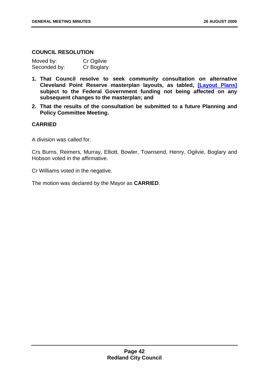## **COUNCIL RESOLUTION**

| Moved by:    | Cr Ogilvie |
|--------------|------------|
| Seconded by: | Cr Boglary |

- **1. That Council resolve to seek community consultation on alternative Cleveland Point Reserve masterplan layouts, as tabled, [Layout Plans] subject to the Federal Government funding not being affected on any subsequent changes to the masterplan; and**
- **2. That the results of the consultation be submitted to a future Planning and Policy Committee Meeting.**

## **CARRIED**

A division was called for.

Crs Burns, Reimers, Murray, Elliott, Bowler, Townsend, Henry, Ogilvie, Boglary and Hobson voted in the affirmative.

Cr Williams voted in the negative.

The motion was declared by the Mayor as **CARRIED**.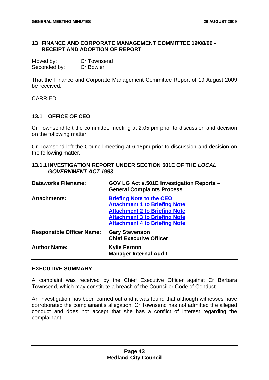## **13 FINANCE AND CORPORATE MANAGEMENT COMMITTEE 19/08/09 - RECEIPT AND ADOPTION OF REPORT**

| Moved by:    | <b>Cr Townsend</b> |
|--------------|--------------------|
| Seconded by: | <b>Cr Bowler</b>   |

That the Finance and Corporate Management Committee Report of 19 August 2009 be received.

CARRIED

# **13.1 OFFICE OF CEO**

Cr Townsend left the committee meeting at 2.05 pm prior to discussion and decision on the following matter.

Cr Townsend left the Council meeting at 6.18pm prior to discussion and decision on the following matter.

| 13.1.1 INVESTIGATION REPORT UNDER SECTION 501E OF THE LOCAL |  |
|-------------------------------------------------------------|--|
| <b>GOVERNMENT ACT 1993</b>                                  |  |

| <b>Dataworks Filename:</b>       | GOV LG Act s.501E Investigation Reports -<br><b>General Complaints Process</b>                                                                                                                  |
|----------------------------------|-------------------------------------------------------------------------------------------------------------------------------------------------------------------------------------------------|
| <b>Attachments:</b>              | <b>Briefing Note to the CEO</b><br><b>Attachment 1 to Briefing Note</b><br><b>Attachment 2 to Briefing Note</b><br><b>Attachment 3 to Briefing Note</b><br><b>Attachment 4 to Briefing Note</b> |
| <b>Responsible Officer Name:</b> | <b>Gary Stevenson</b><br><b>Chief Executive Officer</b>                                                                                                                                         |
| <b>Author Name:</b>              | <b>Kylie Fernon</b><br><b>Manager Internal Audit</b>                                                                                                                                            |

#### **EXECUTIVE SUMMARY**

A complaint was received by the Chief Executive Officer against Cr Barbara Townsend, which may constitute a breach of the Councillor Code of Conduct.

An investigation has been carried out and it was found that although witnesses have corroborated the complainant's allegation, Cr Townsend has not admitted the alleged conduct and does not accept that she has a conflict of interest regarding the complainant.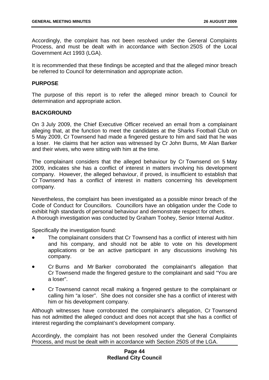Accordingly, the complaint has not been resolved under the General Complaints Process, and must be dealt with in accordance with Section 250S of the Local Government Act 1993 (LGA).

It is recommended that these findings be accepted and that the alleged minor breach be referred to Council for determination and appropriate action.

#### **PURPOSE**

The purpose of this report is to refer the alleged minor breach to Council for determination and appropriate action.

## **BACKGROUND**

On 3 July 2009, the Chief Executive Officer received an email from a complainant alleging that, at the function to meet the candidates at the Sharks Football Club on 5 May 2009, Cr Townsend had made a fingered gesture to him and said that he was a loser. He claims that her action was witnessed by Cr John Burns, Mr Alan Barker and their wives, who were sitting with him at the time.

The complainant considers that the alleged behaviour by Cr Townsend on 5 May 2009, indicates she has a conflict of interest in matters involving his development company. However, the alleged behaviour, if proved, is insufficient to establish that Cr Townsend has a conflict of interest in matters concerning his development company.

Nevertheless, the complaint has been investigated as a possible minor breach of the Code of Conduct for Councillors. Councillors have an obligation under the Code to exhibit high standards of personal behaviour and demonstrate respect for others. A thorough investigation was conducted by Graham Toohey, Senior Internal Auditor.

Specifically the investigation found:

- The complainant considers that Cr Townsend has a conflict of interest with him and his company, and should not be able to vote on his development applications or be an active participant in any discussions involving his company.
- Cr Burns and Mr Barker corroborated the complainant's allegation that Cr Townsend made the fingered gesture to the complainant and said "You are a loser".
- Cr Townsend cannot recall making a fingered gesture to the complainant or calling him "a loser". She does not consider she has a conflict of interest with him or his development company.

Although witnesses have corroborated the complainant's allegation, Cr Townsend has not admitted the alleged conduct and does not accept that she has a conflict of interest regarding the complainant's development company.

Accordingly, the complaint has not been resolved under the General Complaints Process, and must be dealt with in accordance with Section 250S of the LGA.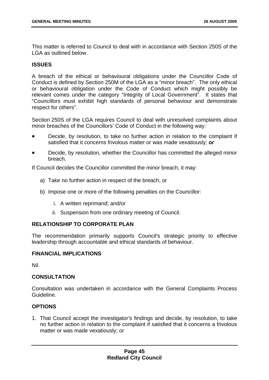This matter is referred to Council to deal with in accordance with Section 250S of the LGA as outlined below.

# **ISSUES**

A breach of the ethical or behavioural obligations under the Councillor Code of Conduct is defined by Section 250M of the LGA as a "minor breach". The only ethical or behavioural obligation under the Code of Conduct which might possibly be relevant comes under the category "Integrity of Local Government". It states that "Councillors must exhibit high standards of personal behaviour and demonstrate respect for others".

Section 250S of the LGA requires Council to deal with unresolved complaints about minor breaches of the Councillors' Code of Conduct in the following way:

- Decide, by resolution, to take no further action in relation to the complaint if satisfied that it concerns frivolous matter or was made vexatiously; **or**
- Decide, by resolution, whether the Councillor has committed the alleged minor breach.

If Council decides the Councillor committed the minor breach, it may:

- a) Take no further action in respect of the breach; or
- b) Impose one or more of the following penalties on the Councillor:
	- i. A written reprimand; and/or
	- ii. Suspension from one ordinary meeting of Council.

# **RELATIONSHIP TO CORPORATE PLAN**

The recommendation primarily supports Council's strategic priority to effective leadership through accountable and ethical standards of behaviour.

# **FINANCIAL IMPLICATIONS**

Nil.

## **CONSULTATION**

Consultation was undertaken in accordance with the General Complaints Process Guideline.

# **OPTIONS**

1. That Council accept the investigator's findings and decide, by resolution, to take no further action in relation to the complaint if satisfied that it concerns a frivolous matter or was made vexatiously; or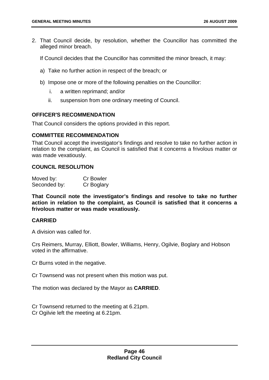2. That Council decide, by resolution, whether the Councillor has committed the alleged minor breach.

If Council decides that the Councillor has committed the minor breach, it may:

- a) Take no further action in respect of the breach; or
- b) Impose one or more of the following penalties on the Councillor:
	- i. a written reprimand; and/or
	- ii. suspension from one ordinary meeting of Council.

#### **OFFICER'S RECOMMENDATION**

That Council considers the options provided in this report.

#### **COMMITTEE RECOMMENDATION**

That Council accept the investigator's findings and resolve to take no further action in relation to the complaint, as Council is satisfied that it concerns a frivolous matter or was made vexatiously.

## **COUNCIL RESOLUTION**

| Moved by:    | <b>Cr Bowler</b> |
|--------------|------------------|
| Seconded by: | Cr Boglary       |

**That Council note the investigator's findings and resolve to take no further action in relation to the complaint, as Council is satisfied that it concerns a frivolous matter or was made vexatiously.** 

## **CARRIED**

A division was called for.

Crs Reimers, Murray, Elliott, Bowler, Williams, Henry, Ogilvie, Boglary and Hobson voted in the affirmative.

Cr Burns voted in the negative.

Cr Townsend was not present when this motion was put.

The motion was declared by the Mayor as **CARRIED**.

Cr Townsend returned to the meeting at 6.21pm. Cr Ogilvie left the meeting at 6.21pm.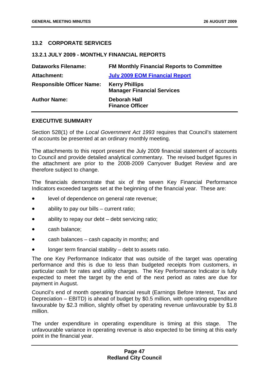# **13.2 CORPORATE SERVICES**

## **13.2.1 JULY 2009 - MONTHLY FINANCIAL REPORTS**

| <b>Dataworks Filename:</b>       | <b>FM Monthly Financial Reports to Committee</b>           |
|----------------------------------|------------------------------------------------------------|
| <b>Attachment:</b>               | <b>July 2009 EOM Financial Report</b>                      |
| <b>Responsible Officer Name:</b> | <b>Kerry Phillips</b><br><b>Manager Financial Services</b> |
| <b>Author Name:</b>              | <b>Deborah Hall</b><br><b>Finance Officer</b>              |

## **EXECUTIVE SUMMARY**

Section 528(1) of the *Local Government Act 1993* requires that Council's statement of accounts be presented at an ordinary monthly meeting.

The attachments to this report present the July 2009 financial statement of accounts to Council and provide detailed analytical commentary. The revised budget figures in the attachment are prior to the 2008-2009 Carryover Budget Review and are therefore subject to change.

The financials demonstrate that six of the seven Key Financial Performance Indicators exceeded targets set at the beginning of the financial year. These are:

- level of dependence on general rate revenue;
- ability to pay our bills  $-$  current ratio;
- ability to repay our debt  $-$  debt servicing ratio;
- cash balance;
- cash balances cash capacity in months; and
- longer term financial stability debt to assets ratio.

The one Key Performance Indicator that was outside of the target was operating performance and this is due to less than budgeted receipts from customers, in particular cash for rates and utility charges. The Key Performance Indicator is fully expected to meet the target by the end of the next period as rates are due for payment in August.

Council's end of month operating financial result (Earnings Before Interest, Tax and Depreciation – EBITD) is ahead of budget by \$0.5 million, with operating expenditure favourable by \$2.3 million, slightly offset by operating revenue unfavourable by \$1.8 million.

The under expenditure in operating expenditure is timing at this stage. The unfavourable variance in operating revenue is also expected to be timing at this early point in the financial year.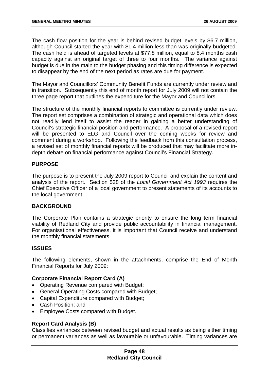The cash flow position for the year is behind revised budget levels by \$6.7 million, although Council started the year with \$1.4 million less than was originally budgeted. The cash held is ahead of targeted levels at \$77.8 million, equal to 8.4 months cash capacity against an original target of three to four months. The variance against budget is due in the main to the budget phasing and this timing difference is expected to disappear by the end of the next period as rates are due for payment.

The Mayor and Councillors' Community Benefit Funds are currently under review and in transition. Subsequently this end of month report for July 2009 will not contain the three page report that outlines the expenditure for the Mayor and Councillors.

The structure of the monthly financial reports to committee is currently under review. The report set comprises a combination of strategic and operational data which does not readily lend itself to assist the reader in gaining a better understanding of Council's strategic financial position and performance. A proposal of a revised report will be presented to ELG and Council over the coming weeks for review and comment during a workshop. Following the feedback from this consultation process, a revised set of monthly financial reports will be produced that may facilitate more indepth debate on financial performance against Council's Financial Strategy.

## **PURPOSE**

The purpose is to present the July 2009 report to Council and explain the content and analysis of the report. Section 528 of the *Local Government Act 1993* requires the Chief Executive Officer of a local government to present statements of its accounts to the local government.

# **BACKGROUND**

The Corporate Plan contains a strategic priority to ensure the long term financial viability of Redland City and provide public accountability in financial management. For organisational effectiveness, it is important that Council receive and understand the monthly financial statements.

## **ISSUES**

The following elements, shown in the attachments, comprise the End of Month Financial Reports for July 2009:

# **Corporate Financial Report Card (A)**

- Operating Revenue compared with Budget;
- General Operating Costs compared with Budget;
- Capital Expenditure compared with Budget;
- Cash Position; and
- Employee Costs compared with Budget.

## **Report Card Analysis (B)**

Classifies variances between revised budget and actual results as being either timing or permanent variances as well as favourable or unfavourable. Timing variances are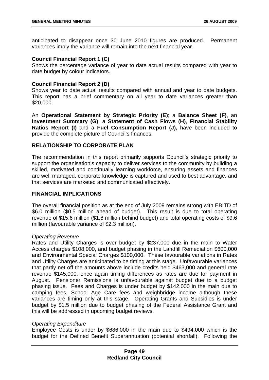anticipated to disappear once 30 June 2010 figures are produced. Permanent variances imply the variance will remain into the next financial year.

## **Council Financial Report 1 (C)**

Shows the percentage variance of year to date actual results compared with year to date budget by colour indicators.

# **Council Financial Report 2 (D)**

Shows year to date actual results compared with annual and year to date budgets. This report has a brief commentary on all year to date variances greater than \$20,000.

An **Operational Statement by Strategic Priority (E)**; a **Balance Sheet (F)**, an **Investment Summary (G)**, a **Statement of Cash Flows (H)**, **Financial Stability Ratios Report (I)** and a **Fuel Consumption Report (J),** have been included to provide the complete picture of Council's finances.

## **RELATIONSHIP TO CORPORATE PLAN**

The recommendation in this report primarily supports Council's strategic priority to support the organisation's capacity to deliver services to the community by building a skilled, motivated and continually learning workforce, ensuring assets and finances are well managed, corporate knowledge is captured and used to best advantage, and that services are marketed and communicated effectively.

## **FINANCIAL IMPLICATIONS**

The overall financial position as at the end of July 2009 remains strong with EBITD of \$6.0 million (\$0.5 million ahead of budget). This result is due to total operating revenue of \$15.6 million (\$1.8 million behind budget) and total operating costs of \$9.6 million (favourable variance of \$2.3 million).

## *Operating Revenue*

Rates and Utility Charges is over budget by \$237,000 due in the main to Water Access charges \$108,000, and budget phasing in the Landfill Remediation \$600,000 and Environmental Special Charges \$100,000. These favourable variations in Rates and Utility Charges are anticipated to be timing at this stage. Unfavourable variances that partly net off the amounts above include credits held \$463,000 and general rate revenue \$145,000; once again timing differences as rates are due for payment in August. Pensioner Remissions is unfavourable against budget due to a budget phasing issue. Fees and Charges is under budget by \$142,000 in the main due to camping fees, School Age Care fees and weighbridge income although these variances are timing only at this stage. Operating Grants and Subsidies is under budget by \$1.5 million due to budget phasing of the Federal Assistance Grant and this will be addressed in upcoming budget reviews.

## *Operating Expenditure*

Employee Costs is under by \$686,000 in the main due to \$494,000 which is the budget for the Defined Benefit Superannuation (potential shortfall). Following the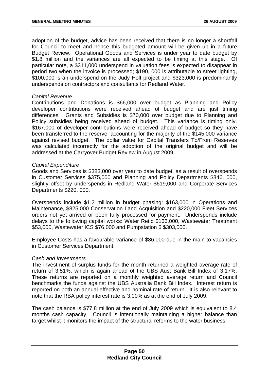adoption of the budget, advice has been received that there is no longer a shortfall for Council to meet and hence this budgeted amount will be given up in a future Budget Review. Operational Goods and Services is under year to date budget by \$1.8 million and the variances are all expected to be timing at this stage. Of particular note, a \$311,000 underspend in valuation fees is expected to disappear in period two when the invoice is processed; \$190, 000 is attributable to street lighting, \$100,000 is an underspend on the Judy Holt project and \$323,000 is predominantly underspends on contractors and consultants for Redland Water.

## *Capital Revenue*

Contributions and Donations is \$66,000 over budget as Planning and Policy developer contributions were received ahead of budget and are just timing differences. Grants and Subsidies is \$70,000 over budget due to Planning and Policy subsidies being received ahead of budget. This variance is timing only. \$167,000 of developer contributions were received ahead of budget so they have been transferred to the reserve, accounting for the majority of the \$145,000 variance against revised budget. The dollar value for Capital Transfers To/From Reserves was calculated incorrectly for the adoption of the original budget and will be addressed at the Carryover Budget Review in August 2009.

## *Capital Expenditure*

Goods and Services is \$383,000 over year to date budget, as a result of overspends in Customer Services \$375,000 and Planning and Policy Departments \$846, 000, slightly offset by underspends in Redland Water \$619,000 and Corporate Services Departments \$220, 000.

Overspends include \$1.2 million in budget phasing: \$163,000 in Operations and Maintenance, \$825,000 Conservation Land Acquisition and \$220,000 Fleet Services orders not yet arrived or been fully processed for payment. Underspends include delays to the following capital works: Water Retic \$166,000, Wastewater Treatment \$53,000, Wastewater ICS \$76,000 and Pumpstation 6 \$303,000.

Employee Costs has a favourable variance of \$86,000 due in the main to vacancies in Customer Services Department.

## *Cash and Investments*

The investment of surplus funds for the month returned a weighted average rate of return of 3.51%, which is again ahead of the UBS Aust Bank Bill Index of 3.17%. These returns are reported on a monthly weighted average return and Council benchmarks the funds against the UBS Australia Bank Bill Index. Interest return is reported on both an annual effective and nominal rate of return. It is also relevant to note that the RBA policy interest rate is 3.00% as at the end of July 2009.

The cash balance is \$77.8 million at the end of July 2009 which is equivalent to 8.4 months cash capacity. Council is intentionally maintaining a higher balance than target whilst it monitors the impact of the structural reforms to the water business.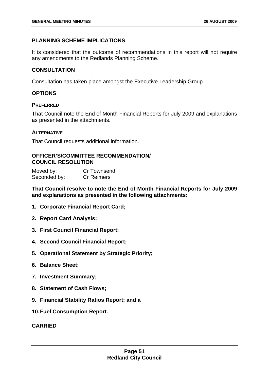# **PLANNING SCHEME IMPLICATIONS**

It is considered that the outcome of recommendations in this report will not require any amendments to the Redlands Planning Scheme.

# **CONSULTATION**

Consultation has taken place amongst the Executive Leadership Group.

# **OPTIONS**

## **PREFERRED**

That Council note the End of Month Financial Reports for July 2009 and explanations as presented in the attachments.

## **ALTERNATIVE**

That Council requests additional information.

## **OFFICER'S/COMMITTEE RECOMMENDATION/ COUNCIL RESOLUTION**

| Moved by:    | Cr Townsend       |
|--------------|-------------------|
| Seconded by: | <b>Cr Reimers</b> |

**That Council resolve to note the End of Month Financial Reports for July 2009 and explanations as presented in the following attachments:** 

- **1. Corporate Financial Report Card;**
- **2. Report Card Analysis;**
- **3. First Council Financial Report;**
- **4. Second Council Financial Report;**
- **5. Operational Statement by Strategic Priority;**
- **6. Balance Sheet;**
- **7. Investment Summary;**
- **8. Statement of Cash Flows;**
- **9. Financial Stability Ratios Report; and a**
- **10. Fuel Consumption Report.**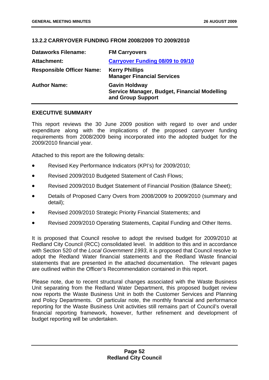# **13.2.2 CARRYOVER FUNDING FROM 2008/2009 TO 2009/2010**

| <b>Dataworks Filename:</b>       | <b>FM Carryovers</b>                                                                      |
|----------------------------------|-------------------------------------------------------------------------------------------|
| <b>Attachment:</b>               | <b>Carryover Funding 08/09 to 09/10</b>                                                   |
| <b>Responsible Officer Name:</b> | <b>Kerry Phillips</b><br><b>Manager Financial Services</b>                                |
| <b>Author Name:</b>              | <b>Gavin Holdway</b><br>Service Manager, Budget, Financial Modelling<br>and Group Support |

## **EXECUTIVE SUMMARY**

This report reviews the 30 June 2009 position with regard to over and under expenditure along with the implications of the proposed carryover funding requirements from 2008/2009 being incorporated into the adopted budget for the 2009/2010 financial year.

Attached to this report are the following details:

- Revised Key Performance Indicators (KPI's) for 2009/2010;
- Revised 2009/2010 Budgeted Statement of Cash Flows;
- Revised 2009/2010 Budget Statement of Financial Position (Balance Sheet):
- Details of Proposed Carry Overs from 2008/2009 to 2009/2010 (summary and detail);
- Revised 2009/2010 Strategic Priority Financial Statements; and
- Revised 2009/2010 Operating Statements, Capital Funding and Other Items.

It is proposed that Council resolve to adopt the revised budget for 2009/2010 at Redland City Council (RCC) consolidated level. In addition to this and in accordance with Section 520 of the *Local Government 1993*, it is proposed that Council resolve to adopt the Redland Water financial statements and the Redland Waste financial statements that are presented in the attached documentation. The relevant pages are outlined within the Officer's Recommendation contained in this report.

Please note, due to recent structural changes associated with the Waste Business Unit separating from the Redland Water Department, this proposed budget review now reports the Waste Business Unit in both the Customer Services and Planning and Policy Departments. Of particular note, the monthly financial and performance reporting for the Waste Business Unit activities still remains part of Council's overall financial reporting framework, however, further refinement and development of budget reporting will be undertaken.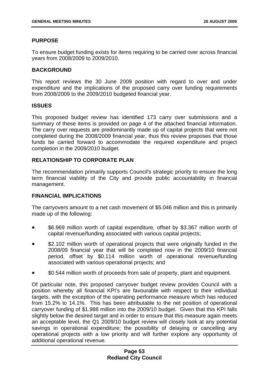# **PURPOSE**

To ensure budget funding exists for items requiring to be carried over across financial years from 2008/2009 to 2009/2010.

# **BACKGROUND**

This report reviews the 30 June 2009 position with regard to over and under expenditure and the implications of the proposed carry over funding requirements from 2008/2009 to the 2009/2010 budgeted financial year.

## **ISSUES**

This proposed budget review has identified 173 carry over submissions and a summary of these items is provided on page 4 of the attached financial information. The carry over requests are predominantly made up of capital projects that were not completed during the 2008/2009 financial year, thus this review proposes that those funds be carried forward to accommodate the required expenditure and project completion in the 2009/2010 budget.

# **RELATIONSHIP TO CORPORATE PLAN**

The recommendation primarily supports Council's strategic priority to ensure the long term financial viability of the City and provide public accountability in financial management.

## **FINANCIAL IMPLICATIONS**

The carryovers amount to a net cash movement of \$5.046 million and this is primarily made up of the following:

- \$6.969 million worth of capital expenditure, offset by \$3.367 million worth of capital revenue/funding associated with various capital projects;
- \$2.102 million worth of operational projects that were originally funded in the 2008/09 financial year that will be completed now in the 2009/10 financial period, offset by \$0.114 million worth of operational revenue/funding associated with various operational projects; and
- \$0.544 million worth of proceeds from sale of property, plant and equipment.

Of particular note, this proposed carryover budget review provides Council with a position whereby all financial KPI's are favourable with respect to their individual targets, with the exception of the operating performance measure which has reduced from 15.2% to 14.1%. This has been attributable to the net position of operational carryover funding of \$1.988 million into the 2009/10 budget. Given that this KPI falls slightly below the desired target and in order to ensure that this measure again meets an acceptable level, the Q1 2009/10 budget review will closely look at any potential savings in operational expenditure; the possibility of delaying or cancelling any operational projects with a low priority and will further explore any opportunity of additional operational revenue.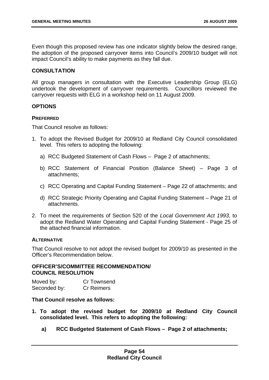Even though this proposed review has one indicator slightly below the desired range, the adoption of the proposed carryover items into Council's 2009/10 budget will not impact Council's ability to make payments as they fall due.

## **CONSULTATION**

All group managers in consultation with the Executive Leadership Group (ELG) undertook the development of carryover requirements. Councillors reviewed the carryover requests with ELG in a workshop held on 11 August 2009.

## **OPTIONS**

## **PREFERRED**

That Council resolve as follows:

- 1. To adopt the Revised Budget for 2009/10 at Redland City Council consolidated level. This refers to adopting the following:
	- a) RCC Budgeted Statement of Cash Flows Page 2 of attachments;
	- b) RCC Statement of Financial Position (Balance Sheet) Page 3 of attachments;
	- c) RCC Operating and Capital Funding Statement Page 22 of attachments; and
	- d) RCC Strategic Priority Operating and Capital Funding Statement Page 21 of attachments.
- 2. To meet the requirements of Section 520 of the *Local Government Act 1993*, to adopt the Redland Water Operating and Capital Funding Statement - Page 25 of the attached financial information.

## **ALTERNATIVE**

That Council resolve to not adopt the revised budget for 2009/10 as presented in the Officer's Recommendation below.

## **OFFICER'S/COMMITTEE RECOMMENDATION/ COUNCIL RESOLUTION**

Moved by: Cr Townsend Seconded by: Cr Reimers

## **That Council resolve as follows:**

- **1. To adopt the revised budget for 2009/10 at Redland City Council consolidated level. This refers to adopting the following:** 
	- **a) RCC Budgeted Statement of Cash Flows Page 2 of attachments;**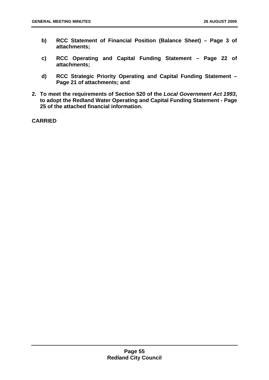- **b) RCC Statement of Financial Position (Balance Sheet) Page 3 of attachments;**
- **c) RCC Operating and Capital Funding Statement Page 22 of attachments;**
- **d) RCC Strategic Priority Operating and Capital Funding Statement Page 21 of attachments; and**
- **2. To meet the requirements of Section 520 of the** *Local Government Act 1993***, to adopt the Redland Water Operating and Capital Funding Statement - Page 25 of the attached financial information.**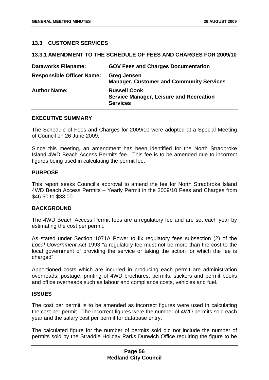## **13.3 CUSTOMER SERVICES**

## **13.3.1 AMENDMENT TO THE SCHEDULE OF FEES AND CHARGES FOR 2009/10**

| <b>Dataworks Filename:</b>       | <b>GOV Fees and Charges Documentation</b>                                                |
|----------------------------------|------------------------------------------------------------------------------------------|
| <b>Responsible Officer Name:</b> | <b>Greg Jensen</b><br><b>Manager, Customer and Community Services</b>                    |
| <b>Author Name:</b>              | <b>Russell Cook</b><br><b>Service Manager, Leisure and Recreation</b><br><b>Services</b> |

#### **EXECUTIVE SUMMARY**

The Schedule of Fees and Charges for 2009/10 were adopted at a Special Meeting of Council on 26 June 2009.

Since this meeting, an amendment has been identified for the North Stradbroke Island 4WD Beach Access Permits fee. This fee is to be amended due to incorrect figures being used in calculating the permit fee.

## **PURPOSE**

This report seeks Council's approval to amend the fee for North Stradbroke Island 4WD Beach Access Permits – Yearly Permit in the 2009/10 Fees and Charges from \$46.50 to \$33.00.

## **BACKGROUND**

The 4WD Beach Access Permit fees are a regulatory fee and are set each year by estimating the cost per permit.

As stated under Section 1071A Power to fix regulatory fees subsection (2) of the *Local Government Act* 1993 "a regulatory fee must not be more than the cost to the local government of providing the service or taking the action for which the fee is charged".

Apportioned costs which are incurred in producing each permit are administration overheads, postage, printing of 4WD brochures, permits, stickers and permit books and office overheads such as labour and compliance costs, vehicles and fuel.

## **ISSUES**

The cost per permit is to be amended as incorrect figures were used in calculating the cost per permit. The incorrect figures were the number of 4WD permits sold each year and the salary cost per permit for database entry.

The calculated figure for the number of permits sold did not include the number of permits sold by the Straddie Holiday Parks Dunwich Office requiring the figure to be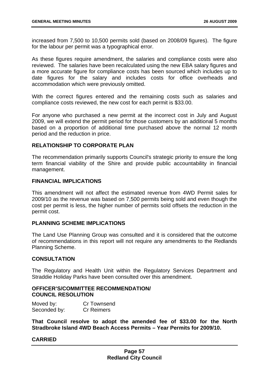increased from 7,500 to 10,500 permits sold (based on 2008/09 figures). The figure for the labour per permit was a typographical error.

As these figures require amendment, the salaries and compliance costs were also reviewed. The salaries have been recalculated using the new EBA salary figures and a more accurate figure for compliance costs has been sourced which includes up to date figures for the salary and includes costs for office overheads and accommodation which were previously omitted.

With the correct figures entered and the remaining costs such as salaries and compliance costs reviewed, the new cost for each permit is \$33.00.

For anyone who purchased a new permit at the incorrect cost in July and August 2009, we will extend the permit period for those customers by an additional 5 months based on a proportion of additional time purchased above the normal 12 month period and the reduction in price.

## **RELATIONSHIP TO CORPORATE PLAN**

The recommendation primarily supports Council's strategic priority to ensure the long term financial viability of the Shire and provide public accountability in financial management.

## **FINANCIAL IMPLICATIONS**

This amendment will not affect the estimated revenue from 4WD Permit sales for 2009/10 as the revenue was based on 7,500 permits being sold and even though the cost per permit is less, the higher number of permits sold offsets the reduction in the permit cost.

## **PLANNING SCHEME IMPLICATIONS**

The Land Use Planning Group was consulted and it is considered that the outcome of recommendations in this report will not require any amendments to the Redlands Planning Scheme.

## **CONSULTATION**

The Regulatory and Health Unit within the Regulatory Services Department and Straddie Holiday Parks have been consulted over this amendment.

## **OFFICER'S/COMMITTEE RECOMMENDATION/ COUNCIL RESOLUTION**

| Moved by:    | Cr Townsend       |
|--------------|-------------------|
| Seconded by: | <b>Cr Reimers</b> |

**That Council resolve to adopt the amended fee of \$33.00 for the North Stradbroke Island 4WD Beach Access Permits – Year Permits for 2009/10.**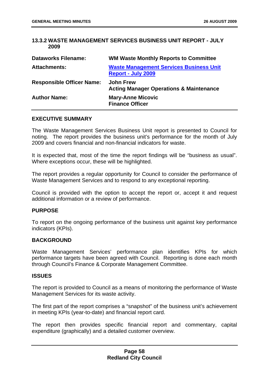## **13.3.2 WASTE MANAGEMENT SERVICES BUSINESS UNIT REPORT - JULY 2009**

| <b>Dataworks Filename:</b>       | <b>WM Waste Monthly Reports to Committee</b>                                |
|----------------------------------|-----------------------------------------------------------------------------|
| <b>Attachments:</b>              | <b>Waste Management Services Business Unit</b><br><b>Report - July 2009</b> |
| <b>Responsible Officer Name:</b> | <b>John Frew</b><br><b>Acting Manager Operations &amp; Maintenance</b>      |
| <b>Author Name:</b>              | <b>Mary-Anne Micovic</b><br><b>Finance Officer</b>                          |

#### **EXECUTIVE SUMMARY**

The Waste Management Services Business Unit report is presented to Council for noting. The report provides the business unit's performance for the month of July 2009 and covers financial and non-financial indicators for waste.

It is expected that, most of the time the report findings will be "business as usual". Where exceptions occur, these will be highlighted.

The report provides a regular opportunity for Council to consider the performance of Waste Management Services and to respond to any exceptional reporting.

Council is provided with the option to accept the report or, accept it and request additional information or a review of performance.

#### **PURPOSE**

To report on the ongoing performance of the business unit against key performance indicators (KPIs).

# **BACKGROUND**

Waste Management Services' performance plan identifies KPIs for which performance targets have been agreed with Council. Reporting is done each month through Council's Finance & Corporate Management Committee.

## **ISSUES**

The report is provided to Council as a means of monitoring the performance of Waste Management Services for its waste activity.

The first part of the report comprises a "snapshot" of the business unit's achievement in meeting KPIs (year-to-date) and financial report card.

The report then provides specific financial report and commentary, capital expenditure (graphically) and a detailed customer overview.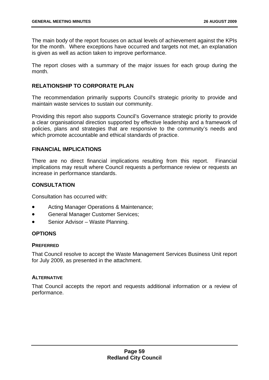The main body of the report focuses on actual levels of achievement against the KPIs for the month. Where exceptions have occurred and targets not met, an explanation is given as well as action taken to improve performance.

The report closes with a summary of the major issues for each group during the month.

## **RELATIONSHIP TO CORPORATE PLAN**

The recommendation primarily supports Council's strategic priority to provide and maintain waste services to sustain our community.

Providing this report also supports Council's Governance strategic priority to provide a clear organisational direction supported by effective leadership and a framework of policies, plans and strategies that are responsive to the community's needs and which promote accountable and ethical standards of practice.

## **FINANCIAL IMPLICATIONS**

There are no direct financial implications resulting from this report. Financial implications may result where Council requests a performance review or requests an increase in performance standards.

# **CONSULTATION**

Consultation has occurred with:

- Acting Manager Operations & Maintenance;
- General Manager Customer Services;
- Senior Advisor Waste Planning.

# **OPTIONS**

## **PREFERRED**

That Council resolve to accept the Waste Management Services Business Unit report for July 2009, as presented in the attachment.

## **ALTERNATIVE**

That Council accepts the report and requests additional information or a review of performance.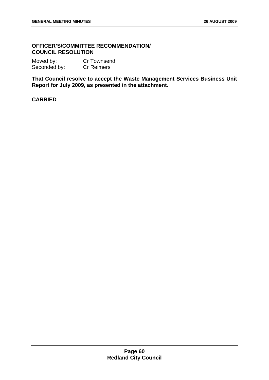# **OFFICER'S/COMMITTEE RECOMMENDATION/ COUNCIL RESOLUTION**

| Moved by:    | Cr Townsend       |
|--------------|-------------------|
| Seconded by: | <b>Cr Reimers</b> |

**That Council resolve to accept the Waste Management Services Business Unit Report for July 2009, as presented in the attachment.**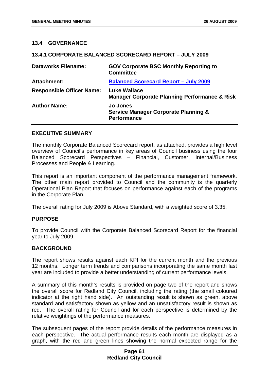## **13.4 GOVERNANCE**

## **13.4.1 CORPORATE BALANCED SCORECARD REPORT – JULY 2009**

| <b>Dataworks Filename:</b>       | <b>GOV Corporate BSC Monthly Reporting to</b><br><b>Committee</b>                        |
|----------------------------------|------------------------------------------------------------------------------------------|
| <b>Attachment:</b>               | <b>Balanced Scorecard Report - July 2009</b>                                             |
| <b>Responsible Officer Name:</b> | <b>Luke Wallace</b><br><b>Manager Corporate Planning Performance &amp; Risk</b>          |
| <b>Author Name:</b>              | <b>Jo Jones</b><br><b>Service Manager Corporate Planning &amp;</b><br><b>Performance</b> |

## **EXECUTIVE SUMMARY**

The monthly Corporate Balanced Scorecard report, as attached, provides a high level overview of Council's performance in key areas of Council business using the four Balanced Scorecard Perspectives – Financial, Customer, Internal/Business Processes and People & Learning.

This report is an important component of the performance management framework. The other main report provided to Council and the community is the quarterly Operational Plan Report that focuses on performance against each of the programs in the Corporate Plan.

The overall rating for July 2009 is Above Standard, with a weighted score of 3.35.

## **PURPOSE**

To provide Council with the Corporate Balanced Scorecard Report for the financial year to July 2009.

## **BACKGROUND**

The report shows results against each KPI for the current month and the previous 12 months. Longer term trends and comparisons incorporating the same month last year are included to provide a better understanding of current performance levels.

A summary of this month's results is provided on page two of the report and shows the overall score for Redland City Council, including the rating (the small coloured indicator at the right hand side). An outstanding result is shown as green, above standard and satisfactory shown as yellow and an unsatisfactory result is shown as red. The overall rating for Council and for each perspective is determined by the relative weightings of the performance measures.

The subsequent pages of the report provide details of the performance measures in each perspective. The actual performance results each month are displayed as a graph, with the red and green lines showing the normal expected range for the

## **Page 61 Redland City Council**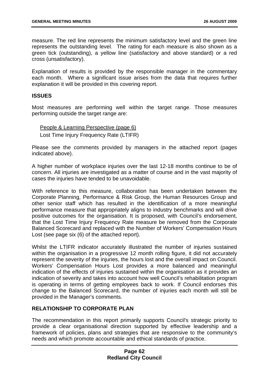measure. The red line represents the minimum satisfactory level and the green line represents the outstanding level. The rating for each measure is also shown as a green tick (outstanding), a yellow line (satisfactory and above standard) or a red cross (unsatisfactory).

Explanation of results is provided by the responsible manager in the commentary each month. Where a significant issue arises from the data that requires further explanation it will be provided in this covering report.

## **ISSUES**

Most measures are performing well within the target range. Those measures performing outside the target range are:

People & Learning Perspective (page 6) Lost Time Injury Frequency Rate (LTIFR)

Please see the comments provided by managers in the attached report (pages indicated above).

A higher number of workplace injuries over the last 12-18 months continue to be of concern. All injuries are investigated as a matter of course and in the vast majority of cases the injuries have tended to be unavoidable.

With reference to this measure, collaboration has been undertaken between the Corporate Planning, Performance & Risk Group, the Human Resources Group and other senior staff which has resulted in the identification of a more meaningful performance measure that appropriately aligns to industry benchmarks and will drive positive outcomes for the organisation. It is proposed, with Council's endorsement, that the Lost Time Injury Frequency Rate measure be removed from the Corporate Balanced Scorecard and replaced with the Number of Workers' Compensation Hours Lost (see page six (6) of the attached report).

Whilst the LTIFR indicator accurately illustrated the number of injuries sustained within the organisation in a progressive 12 month rolling figure, it did not accurately represent the severity of the injuries, the hours lost and the overall impact on Council. Workers' Compensation Hours Lost provides a more balanced and meaningful indication of the effects of injuries sustained within the organisation as it provides an indication of severity and takes into account how well Council's rehabilitation program is operating in terms of getting employees back to work. If Council endorses this change to the Balanced Scorecard, the number of injuries each month will still be provided in the Manager's comments.

# **RELATIONSHIP TO CORPORATE PLAN**

The recommendation in this report primarily supports Council's strategic priority to provide a clear organisational direction supported by effective leadership and a framework of policies, plans and strategies that are responsive to the community's needs and which promote accountable and ethical standards of practice.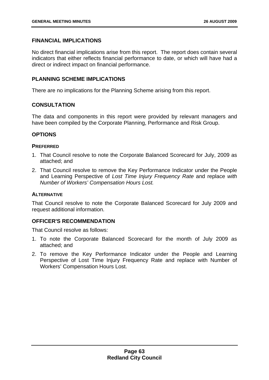# **FINANCIAL IMPLICATIONS**

No direct financial implications arise from this report. The report does contain several indicators that either reflects financial performance to date, or which will have had a direct or indirect impact on financial performance.

# **PLANNING SCHEME IMPLICATIONS**

There are no implications for the Planning Scheme arising from this report.

# **CONSULTATION**

The data and components in this report were provided by relevant managers and have been compiled by the Corporate Planning, Performance and Risk Group.

# **OPTIONS**

## **PREFERRED**

- 1. That Council resolve to note the Corporate Balanced Scorecard for July, 2009 as attached; and
- 2. That Council resolve to remove the Key Performance Indicator under the People and Learning Perspective of *Lost Time Injury Frequency Rate* and replace *with Number of Workers' Compensation Hours Lost.*

# **ALTERNATIVE**

That Council resolve to note the Corporate Balanced Scorecard for July 2009 and request additional information.

# **OFFICER'S RECOMMENDATION**

That Council resolve as follows:

- 1. To note the Corporate Balanced Scorecard for the month of July 2009 as attached; and
- 2. To remove the Key Performance Indicator under the People and Learning Perspective of Lost Time Injury Frequency Rate and replace with Number of Workers' Compensation Hours Lost.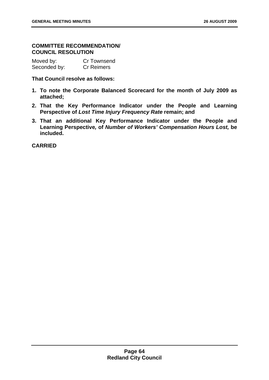## **COMMITTEE RECOMMENDATION/ COUNCIL RESOLUTION**

| Moved by:    | <b>Cr Townsend</b> |
|--------------|--------------------|
| Seconded by: | <b>Cr Reimers</b>  |

**That Council resolve as follows:** 

- **1. To note the Corporate Balanced Scorecard for the month of July 2009 as attached;**
- **2. That the Key Performance Indicator under the People and Learning Perspective of** *Lost Time Injury Frequency Rate* **remain; and**
- **3. That an additional Key Performance Indicator under the People and Learning Perspective***,* **of** *Number of Workers' Compensation Hours Lost,* **be included.**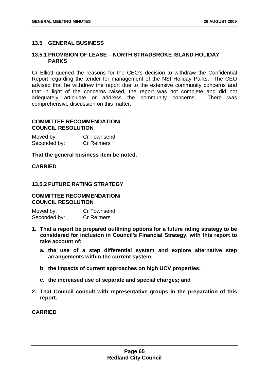## **13.5 GENERAL BUSINESS**

## **13.5.1 PROVISION OF LEASE – NORTH STRADBROKE ISLAND HOLIDAY PARKS**

Cr Elliott queried the reasons for the CEO's decision to withdraw the Confidential Report regarding the tender for management of the NSI Holiday Parks. The CEO advised that he withdrew the report due to the extensive community concerns and that in light of the concerns raised, the report was not complete and did not adequately articulate or address the community concerns. There was comprehensive discussion on this matter.

# **COMMITTEE RECOMMENDATION/ COUNCIL RESOLUTION**

| Moved by:    | <b>Cr Townsend</b> |
|--------------|--------------------|
| Seconded by: | <b>Cr Reimers</b>  |

## **That the general business item be noted.**

## **CARRIED**

## **13.5.2 FUTURE RATING STRATEGY**

# **COMMITTEE RECOMMENDATION/ COUNCIL RESOLUTION**

Moved by: Cr Townsend Seconded by: Cr Reimers

- **1. That a report be prepared outlining options for a future rating strategy to be considered for inclusion in Council's Financial Strategy, with this report to take account of:** 
	- **a. the use of a step differential system and explore alternative step arrangements within the current system;**
	- **b. the impacts of current approaches on high UCV properties;**
	- **c. the increased use of separate and special charges; and**
- **2. That Council consult with representative groups in the preparation of this report.**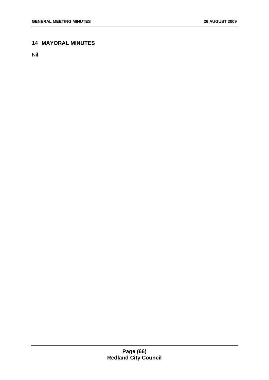# **14 MAYORAL MINUTES**

Nil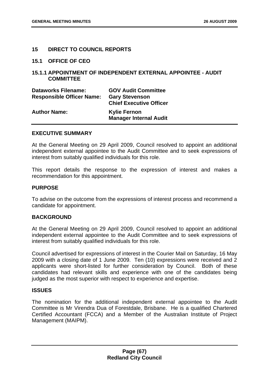## **15 DIRECT TO COUNCIL REPORTS**

**15.1 OFFICE OF CEO** 

## **15.1.1 APPOINTMENT OF INDEPENDENT EXTERNAL APPOINTEE - AUDIT COMMITTEE**

| <b>Dataworks Filename:</b><br><b>Responsible Officer Name:</b> | <b>GOV Audit Committee</b><br><b>Gary Stevenson</b><br><b>Chief Executive Officer</b> |
|----------------------------------------------------------------|---------------------------------------------------------------------------------------|
| <b>Author Name:</b>                                            | <b>Kylie Fernon</b><br><b>Manager Internal Audit</b>                                  |

#### **EXECUTIVE SUMMARY**

At the General Meeting on 29 April 2009, Council resolved to appoint an additional independent external appointee to the Audit Committee and to seek expressions of interest from suitably qualified individuals for this role.

This report details the response to the expression of interest and makes a recommendation for this appointment.

#### **PURPOSE**

To advise on the outcome from the expressions of interest process and recommend a candidate for appointment.

## **BACKGROUND**

At the General Meeting on 29 April 2009, Council resolved to appoint an additional independent external appointee to the Audit Committee and to seek expressions of interest from suitably qualified individuals for this role.

Council advertised for expressions of interest in the Courier Mail on Saturday, 16 May 2009 with a closing date of 1 June 2009. Ten (10) expressions were received and 2 applicants were short-listed for further consideration by Council. Both of these candidates had relevant skills and experience with one of the candidates being judged as the most superior with respect to experience and expertise.

#### **ISSUES**

The nomination for the additional independent external appointee to the Audit Committee is Mr Virendra Dua of Forestdale, Brisbane. He is a qualified Chartered Certified Accountant (FCCA) and a Member of the Australian Institute of Project Management (MAIPM).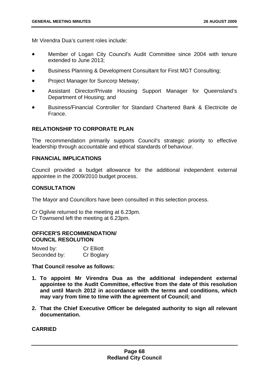Mr Virendra Dua's current roles include:

- Member of Logan City Council's Audit Committee since 2004 with tenure extended to June 2013;
- Business Planning & Development Consultant for First MGT Consulting;
- Project Manager for Suncorp Metway;
- Assistant Director/Private Housing Support Manager for Queensland's Department of Housing; and
- Business/Financial Controller for Standard Chartered Bank & Electricite de France.

# **RELATIONSHIP TO CORPORATE PLAN**

The recommendation primarily supports Council's strategic priority to effective leadership through accountable and ethical standards of behaviour.

## **FINANCIAL IMPLICATIONS**

Council provided a budget allowance for the additional independent external appointee in the 2009/2010 budget process.

## **CONSULTATION**

The Mayor and Councillors have been consulted in this selection process.

Cr Ogilvie returned to the meeting at 6.23pm. Cr Townsend left the meeting at 6.23pm.

## **OFFICER'S RECOMMENDATION/ COUNCIL RESOLUTION**

| Moved by:    | <b>Cr Elliott</b> |
|--------------|-------------------|
| Seconded by: | Cr Boglary        |

**That Council resolve as follows:** 

- **1. To appoint Mr Virendra Dua as the additional independent external appointee to the Audit Committee, effective from the date of this resolution and until March 2012 in accordance with the terms and conditions, which may vary from time to time with the agreement of Council; and**
- **2. That the Chief Executive Officer be delegated authority to sign all relevant documentation.**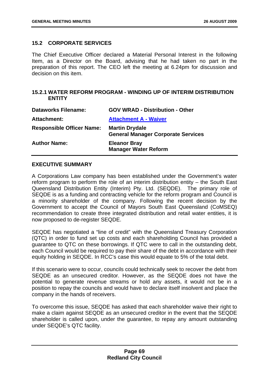# **15.2 CORPORATE SERVICES**

The Chief Executive Officer declared a Material Personal Interest in the following Item, as a Director on the Board, advising that he had taken no part in the preparation of this report. The CEO left the meeting at 6.24pm for discussion and decision on this item.

# **15.2.1 WATER REFORM PROGRAM - WINDING UP OF INTERIM DISTRIBUTION ENTITY**

| <b>Dataworks Filename:</b>       | <b>GOV WRAD - Distribution - Other</b>                             |
|----------------------------------|--------------------------------------------------------------------|
| Attachment:                      | <b>Attachment A - Waiver</b>                                       |
| <b>Responsible Officer Name:</b> | <b>Martin Drydale</b><br><b>General Manager Corporate Services</b> |
| <b>Author Name:</b>              | <b>Eleanor Bray</b><br><b>Manager Water Reform</b>                 |

# **EXECUTIVE SUMMARY**

A Corporations Law company has been established under the Government's water reform program to perform the role of an interim distribution entity – the South East Queensland Distribution Entity (Interim) Pty. Ltd. (SEQDE). The primary role of SEQDE is as a funding and contracting vehicle for the reform program and Council is a minority shareholder of the company. Following the recent decision by the Government to accept the Council of Mayors South East Queensland (CoMSEQ) recommendation to create three integrated distribution and retail water entities, it is now proposed to de-register SEQDE.

SEQDE has negotiated a "line of credit" with the Queensland Treasury Corporation (QTC) in order to fund set up costs and each shareholding Council has provided a guarantee to QTC on these borrowings. If QTC were to call in the outstanding debt, each Council would be required to pay their share of the debt in accordance with their equity holding in SEQDE. In RCC's case this would equate to 5% of the total debt.

If this scenario were to occur, councils could technically seek to recover the debt from SEQDE as an unsecured creditor. However, as the SEQDE does not have the potential to generate revenue streams or hold any assets, it would not be in a position to repay the councils and would have to declare itself insolvent and place the company in the hands of receivers.

To overcome this issue, SEQDE has asked that each shareholder waive their right to make a claim against SEQDE as an unsecured creditor in the event that the SEQDE shareholder is called upon, under the guarantee, to repay any amount outstanding under SEQDE's QTC facility.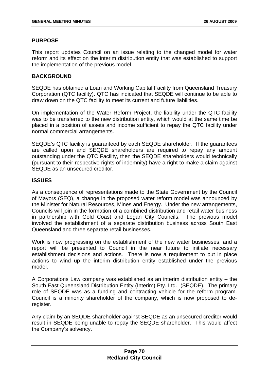# **PURPOSE**

This report updates Council on an issue relating to the changed model for water reform and its effect on the interim distribution entity that was established to support the implementation of the previous model.

# **BACKGROUND**

SEQDE has obtained a Loan and Working Capital Facility from Queensland Treasury Corporation (QTC facility). QTC has indicated that SEQDE will continue to be able to draw down on the QTC facility to meet its current and future liabilities.

On implementation of the Water Reform Project, the liability under the QTC facility was to be transferred to the new distribution entity, which would at the same time be placed in a position of assets and income sufficient to repay the QTC facility under normal commercial arrangements.

SEQDE's QTC facility is guaranteed by each SEQDE shareholder. If the guarantees are called upon and SEQDE shareholders are required to repay any amount outstanding under the QTC Facility, then the SEQDE shareholders would technically (pursuant to their respective rights of indemnity) have a right to make a claim against SEQDE as an unsecured creditor.

## **ISSUES**

As a consequence of representations made to the State Government by the Council of Mayors (SEQ), a change in the proposed water reform model was announced by the Minister for Natural Resources, Mines and Energy. Under the new arrangements, Councils will join in the formation of a combined distribution and retail water business in partnership with Gold Coast and Logan City Councils. The previous model involved the establishment of a separate distribution business across South East Queensland and three separate retail businesses.

Work is now progressing on the establishment of the new water businesses, and a report will be presented to Council in the near future to initiate necessary establishment decisions and actions. There is now a requirement to put in place actions to wind up the interim distribution entity established under the previous model.

A Corporations Law company was established as an interim distribution entity – the South East Queensland Distribution Entity (Interim) Pty. Ltd. (SEQDE). The primary role of SEQDE was as a funding and contracting vehicle for the reform program. Council is a minority shareholder of the company, which is now proposed to deregister.

Any claim by an SEQDE shareholder against SEQDE as an unsecured creditor would result in SEQDE being unable to repay the SEQDE shareholder. This would affect the Company's solvency.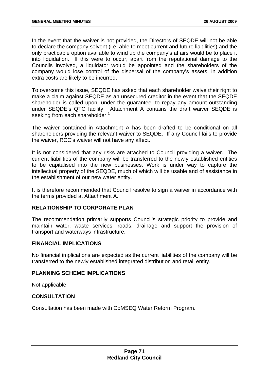In the event that the waiver is not provided, the Directors of SEQDE will not be able to declare the company solvent (i.e. able to meet current and future liabilities) and the only practicable option available to wind up the company's affairs would be to place it into liquidation. If this were to occur, apart from the reputational damage to the Councils involved, a liquidator would be appointed and the shareholders of the company would lose control of the dispersal of the company's assets, in addition extra costs are likely to be incurred.

To overcome this issue, SEQDE has asked that each shareholder waive their right to make a claim against SEQDE as an unsecured creditor in the event that the SEQDE shareholder is called upon, under the guarantee, to repay any amount outstanding under SEQDE's QTC facility. Attachment A contains the draft waiver SEQDE is seeking from each shareholder.<sup>1</sup>

The waiver contained in Attachment A has been drafted to be conditional on all shareholders providing the relevant waiver to SEQDE. If any Council fails to provide the waiver, RCC's waiver will not have any affect.

It is not considered that any risks are attached to Council providing a waiver. The current liabilities of the company will be transferred to the newly established entities to be capitalised into the new businesses. Work is under way to capture the intellectual property of the SEQDE, much of which will be usable and of assistance in the establishment of our new water entity.

It is therefore recommended that Council resolve to sign a waiver in accordance with the terms provided at Attachment A.

## **RELATIONSHIP TO CORPORATE PLAN**

The recommendation primarily supports Council's strategic priority to provide and maintain water, waste services, roads, drainage and support the provision of transport and waterways infrastructure.

## **FINANCIAL IMPLICATIONS**

No financial implications are expected as the current liabilities of the company will be transferred to the newly established integrated distribution and retail entity.

## **PLANNING SCHEME IMPLICATIONS**

Not applicable.

# **CONSULTATION**

Consultation has been made with CoMSEQ Water Reform Program.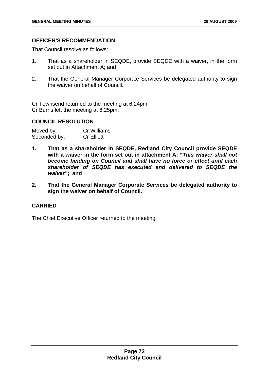# **OFFICER'S RECOMMENDATION**

That Council resolve as follows:

- 1. That as a shareholder in SEQDE, provide SEQDE with a waiver, in the form set out in Attachment A; and
- 2. That the General Manager Corporate Services be delegated authority to sign the waiver on behalf of Council.

Cr Townsend returned to the meeting at 6.24pm. Cr Burns left the meeting at 6.25pm.

# **COUNCIL RESOLUTION**

| Moved by:    | <b>Cr Williams</b> |
|--------------|--------------------|
| Seconded by: | <b>Cr Elliott</b>  |

- **1. That as a shareholder in SEQDE, Redland City Council provide SEQDE with a waiver in the form set out in attachment A; "***This waiver shall not become binding on Council and shall have no force or effect until each shareholder of SEQDE has executed and delivered to SEQDE the waiver"***; and**
- **2. That the General Manager Corporate Services be delegated authority to sign the waiver on behalf of Council.**

# **CARRIED**

The Chief Executive Officer returned to the meeting.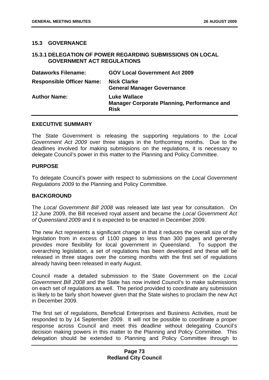## **15.3 GOVERNANCE**

## **15.3.1 DELEGATION OF POWER REGARDING SUBMISSIONS ON LOCAL GOVERNMENT ACT REGULATIONS**

| <b>Dataworks Filename:</b>       | <b>GOV Local Government Act 2009</b>                                                     |
|----------------------------------|------------------------------------------------------------------------------------------|
| <b>Responsible Officer Name:</b> | <b>Nick Clarke</b><br><b>General Manager Governance</b>                                  |
| <b>Author Name:</b>              | <b>Luke Wallace</b><br><b>Manager Corporate Planning, Performance and</b><br><b>Risk</b> |

#### **EXECUTIVE SUMMARY**

The State Government is releasing the supporting regulations to the *Local Government Act 2009* over three stages in the forthcoming months. Due to the deadlines involved for making submissions on the regulations, it is necessary to delegate Council's power in this matter to the Planning and Policy Committee.

## **PURPOSE**

To delegate Council's power with respect to submissions on the *Local Government Regulations 2009* to the Planning and Policy Committee.

## **BACKGROUND**

The *Local Government Bill 2008* was released late last year for consultation. On 12 June 2009, the Bill received royal assent and became the *Local Government Act of Queensland 2009* and it is expected to be enacted in December 2009.

The new Act represents a significant change in that it reduces the overall size of the legislation from in excess of 1100 pages to less than 300 pages and generally provides more flexibility for local government in Queensland. To support the overarching legislation, a set of regulations has been developed and these will be released in three stages over the coming months with the first set of regulations already having been released in early August.

Council made a detailed submission to the State Government on the *Local Government Bill 2008* and the State has now invited Council's to make submissions on each set of regulations as well. The period provided to coordinate any submission is likely to be fairly short however given that the State wishes to proclaim the new Act in December 2009.

The first set of regulations, Beneficial Enterprises and Business Activities, must be responded to by 14 September 2009. It will not be possible to coordinate a proper response across Council and meet this deadline without delegating Council's decision making powers in this matter to the Planning and Policy Committee. This delegation should be extended to Planning and Policy Committee through to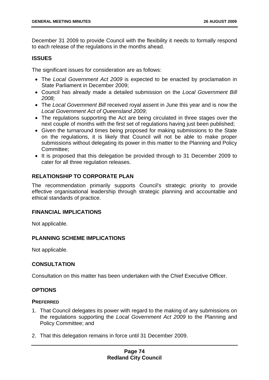December 31 2009 to provide Council with the flexibility it needs to formally respond to each release of the regulations in the months ahead.

# **ISSUES**

The significant issues for consideration are as follows:

- The *Local Government Act 2009* is expected to be enacted by proclamation in State Parliament in December 2009;
- Council has already made a detailed submission on the *Local Government Bill 2008;*
- The *Local Government Bill* received royal assent in June this year and is now the *Local Government Act of Queensland 2009*;
- The regulations supporting the Act are being circulated in three stages over the next couple of months with the first set of regulations having just been published;
- Given the turnaround times being proposed for making submissions to the State on the regulations, it is likely that Council will not be able to make proper submissions without delegating its power in this matter to the Planning and Policy Committee;
- It is proposed that this delegation be provided through to 31 December 2009 to cater for all three regulation releases.

# **RELATIONSHIP TO CORPORATE PLAN**

The recommendation primarily supports Council's strategic priority to provide effective organisational leadership through strategic planning and accountable and ethical standards of practice.

## **FINANCIAL IMPLICATIONS**

Not applicable.

## **PLANNING SCHEME IMPLICATIONS**

Not applicable.

# **CONSULTATION**

Consultation on this matter has been undertaken with the Chief Executive Officer.

## **OPTIONS**

## **PREFERRED**

- 1. That Council delegates its power with regard to the making of any submissions on the regulations supporting the *Local Government Act 2009* to the Planning and Policy Committee; and
- 2. That this delegation remains in force until 31 December 2009.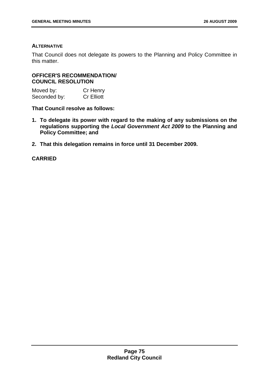## **ALTERNATIVE**

That Council does not delegate its powers to the Planning and Policy Committee in this matter.

# **OFFICER'S RECOMMENDATION/ COUNCIL RESOLUTION**

| Moved by:    | Cr Henry          |
|--------------|-------------------|
| Seconded by: | <b>Cr Elliott</b> |

**That Council resolve as follows:** 

- **1. To delegate its power with regard to the making of any submissions on the regulations supporting the** *Local Government Act 2009* **to the Planning and Policy Committee; and**
- **2. That this delegation remains in force until 31 December 2009.**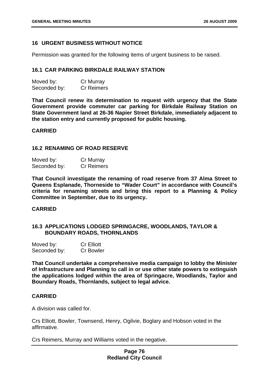## **16 URGENT BUSINESS WITHOUT NOTICE**

Permission was granted for the following items of urgent business to be raised.

#### **16.1 CAR PARKING BIRKDALE RAILWAY STATION**

| Moved by:    | Cr Murray         |
|--------------|-------------------|
| Seconded by: | <b>Cr Reimers</b> |

**That Council renew its determination to request with urgency that the State Government provide commuter car parking for Birkdale Railway Station on State Government land at 26-36 Napier Street Birkdale, immediately adjacent to the station entry and currently proposed for public housing.** 

#### **CARRIED**

### **16.2 RENAMING OF ROAD RESERVE**

| Moved by:    | Cr Murray         |
|--------------|-------------------|
| Seconded by: | <b>Cr Reimers</b> |

**That Council investigate the renaming of road reserve from 37 Alma Street to Queens Esplanade, Thorneside to "Wader Court" in accordance with Council's criteria for renaming streets and bring this report to a Planning & Policy Committee in September, due to its urgency.** 

### **CARRIED**

### **16.3 APPLICATIONS LODGED SPRINGACRE, WOODLANDS, TAYLOR & BOUNDARY ROADS, THORNLANDS**

| Moved by:    | <b>Cr Elliott</b> |
|--------------|-------------------|
| Seconded by: | <b>Cr Bowler</b>  |

**That Council undertake a comprehensive media campaign to lobby the Minister of Infrastructure and Planning to call in or use other state powers to extinguish the applications lodged within the area of Springacre, Woodlands, Taylor and Boundary Roads, Thornlands, subject to legal advice.** 

### **CARRIED**

A division was called for.

Crs Elliott, Bowler, Townsend, Henry, Ogilvie, Boglary and Hobson voted in the affirmative.

Crs Reimers, Murray and Williams voted in the negative.